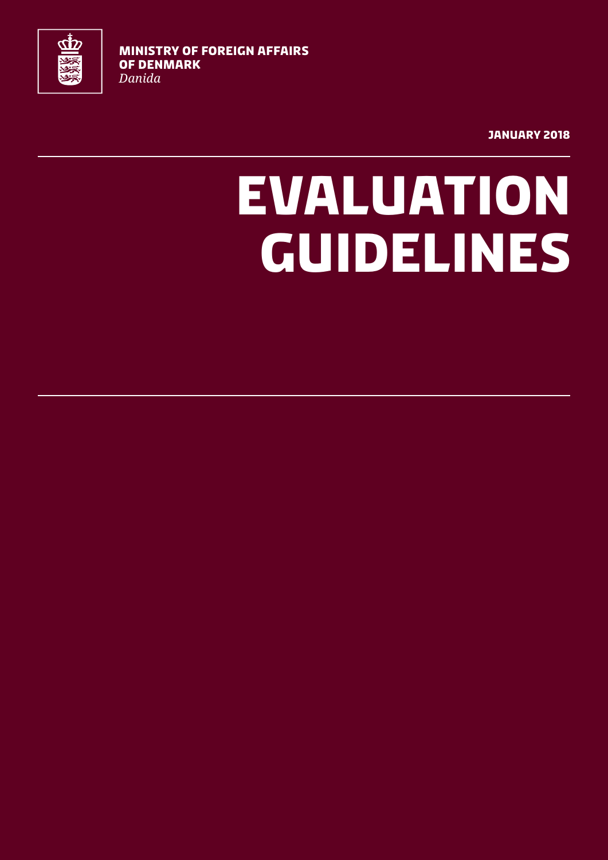

**MINISTRY OF FOREIGN AFFAIRS OF DENMARK** *Danida*

**JANUARY 2018**

# **EVALUATION GUIDELINES**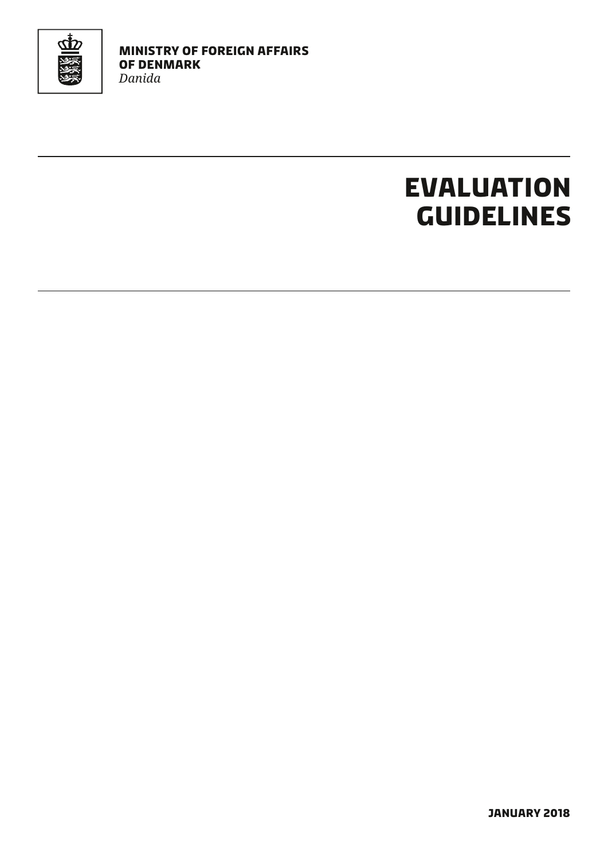

**MINISTRY OF FOREIGN AFFAIRS OF DENMARK** *Danida*

# **EVALUATION GUIDELINES**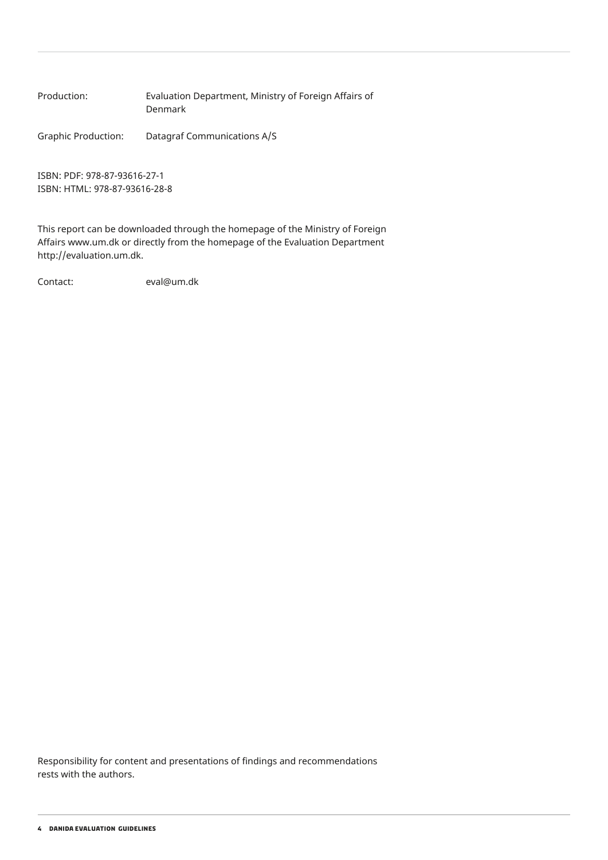Production: Evaluation Department, Ministry of Foreign Affairs of Denmark

Graphic Production: Datagraf Communications A/S

ISBN: PDF: 978-87-93616-27-1 ISBN: HTML: 978-87-93616-28-8

This report can be downloaded through the homepage of the Ministry of Foreign Affairs www.um.dk or directly from the homepage of the Evaluation Department http://evaluation.um.dk.

Contact: eval@um.dk

Responsibility for content and presentations of findings and recommendations rests with the authors.

**4 Danida Evaluation Guidelines**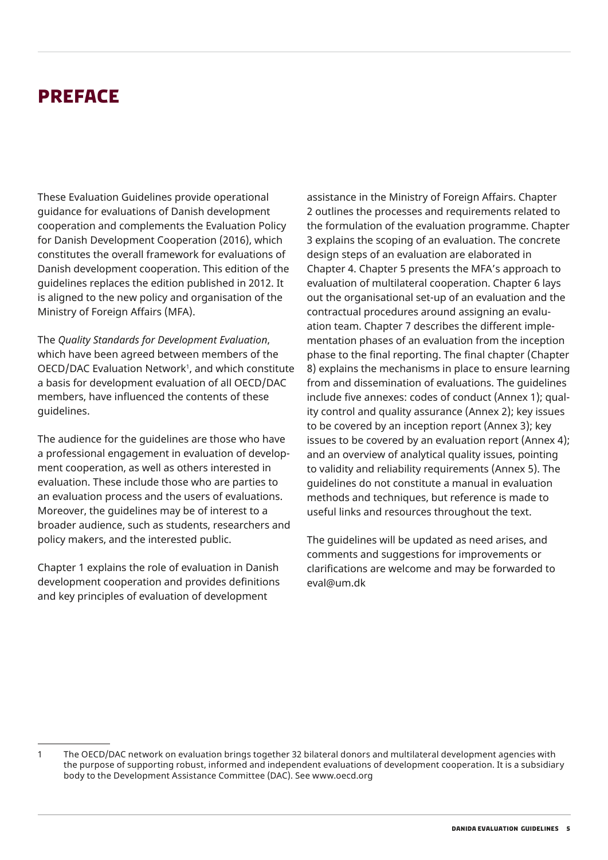## <span id="page-4-0"></span>**Preface**

These Evaluation Guidelines provide operational guidance for evaluations of Danish development cooperation and complements the Evaluation Policy for Danish Development Cooperation (2016), which constitutes the overall framework for evaluations of Danish development cooperation. This edition of the guidelines replaces the edition published in 2012. It is aligned to the new policy and organisation of the Ministry of Foreign Affairs (MFA).

The *Quality Standards for Development Evaluation*, which have been agreed between members of the OECD/DAC Evaluation Network1 , and which constitute a basis for development evaluation of all OECD/DAC members, have influenced the contents of these guidelines.

The audience for the guidelines are those who have a professional engagement in evaluation of development cooperation, as well as others interested in evaluation. These include those who are parties to an evaluation process and the users of evaluations. Moreover, the guidelines may be of interest to a broader audience, such as students, researchers and policy makers, and the interested public.

Chapter 1 explains the role of evaluation in Danish development cooperation and provides definitions and key principles of evaluation of development

assistance in the Ministry of Foreign Affairs. Chapter 2 outlines the processes and requirements related to the formulation of the evaluation programme. Chapter 3 explains the scoping of an evaluation. The concrete design steps of an evaluation are elaborated in Chapter 4. Chapter 5 presents the MFA's approach to evaluation of multilateral cooperation. Chapter 6 lays out the organisational set-up of an evaluation and the contractual procedures around assigning an evaluation team. Chapter 7 describes the different implementation phases of an evaluation from the inception phase to the final reporting. The final chapter (Chapter 8) explains the mechanisms in place to ensure learning from and dissemination of evaluations. The guidelines include five annexes: codes of conduct (Annex 1); quality control and quality assurance (Annex 2); key issues to be covered by an inception report (Annex 3); key issues to be covered by an evaluation report (Annex 4); and an overview of analytical quality issues, pointing to validity and reliability requirements (Annex 5). The guidelines do not constitute a manual in evaluation methods and techniques, but reference is made to useful links and resources throughout the text.

The guidelines will be updated as need arises, and comments and suggestions for improvements or clarifications are welcome and may be forwarded to eval@um.dk

<sup>1</sup> The OECD/DAC network on evaluation brings together 32 bilateral donors and multilateral development agencies with the purpose of supporting robust, informed and independent evaluations of development cooperation. It is a subsidiary body to the Development Assistance Committee (DAC). See www.oecd.org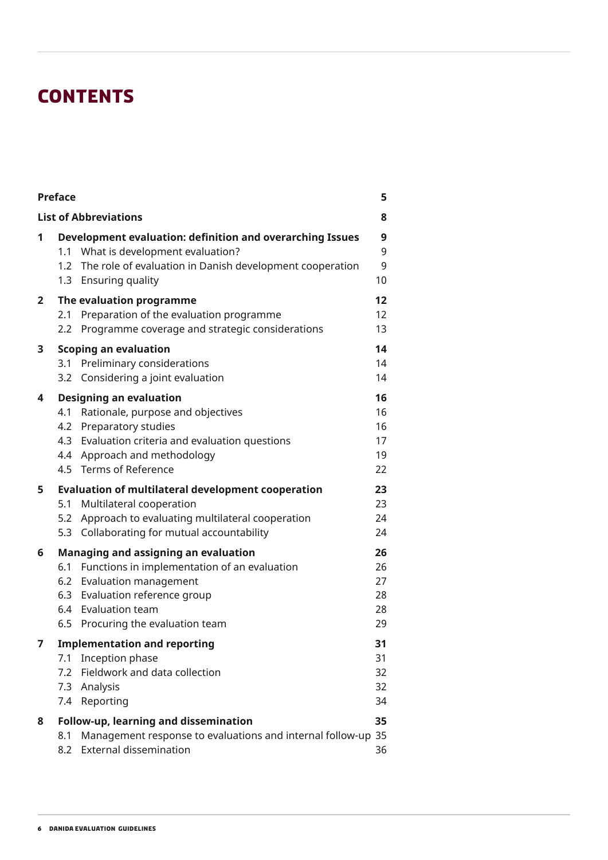## **Contents**

| <b>Preface</b>                    |                          |                                                                                                                                                                                                                            | 5                                |  |
|-----------------------------------|--------------------------|----------------------------------------------------------------------------------------------------------------------------------------------------------------------------------------------------------------------------|----------------------------------|--|
| <b>List of Abbreviations</b><br>8 |                          |                                                                                                                                                                                                                            |                                  |  |
| 1                                 |                          | Development evaluation: definition and overarching Issues<br>1.1 What is development evaluation?<br>1.2 The role of evaluation in Danish development cooperation<br>1.3 Ensuring quality                                   | 9<br>9<br>9<br>10                |  |
| $\mathbf{2}$                      | 2.1<br>$2.2\phantom{0}$  | The evaluation programme<br>Preparation of the evaluation programme<br>Programme coverage and strategic considerations                                                                                                     | 12<br>12<br>13                   |  |
| 3                                 | 3.2                      | <b>Scoping an evaluation</b><br>3.1 Preliminary considerations<br>Considering a joint evaluation                                                                                                                           | 14<br>14<br>14                   |  |
| 4                                 | 4.1                      | <b>Designing an evaluation</b><br>Rationale, purpose and objectives<br>4.2 Preparatory studies<br>4.3 Evaluation criteria and evaluation questions<br>4.4 Approach and methodology<br>4.5 Terms of Reference               | 16<br>16<br>16<br>17<br>19<br>22 |  |
| 5                                 | 5.1<br>5.2<br>5.3        | <b>Evaluation of multilateral development cooperation</b><br>Multilateral cooperation<br>Approach to evaluating multilateral cooperation<br>Collaborating for mutual accountability                                        | 23<br>23<br>24<br>24             |  |
| 6                                 |                          | <b>Managing and assigning an evaluation</b><br>6.1 Functions in implementation of an evaluation<br>6.2 Evaluation management<br>6.3 Evaluation reference group<br>6.4 Evaluation team<br>6.5 Procuring the evaluation team | 26<br>26<br>27<br>28<br>28<br>29 |  |
| 7                                 | 7.1<br>7.2<br>7.3<br>7.4 | <b>Implementation and reporting</b><br>Inception phase<br>Fieldwork and data collection<br>Analysis<br>Reporting                                                                                                           | 31<br>31<br>32<br>32<br>34       |  |
| 8                                 | 8.1<br>8.2               | Follow-up, learning and dissemination<br>Management response to evaluations and internal follow-up 35<br><b>External dissemination</b>                                                                                     | 35<br>36                         |  |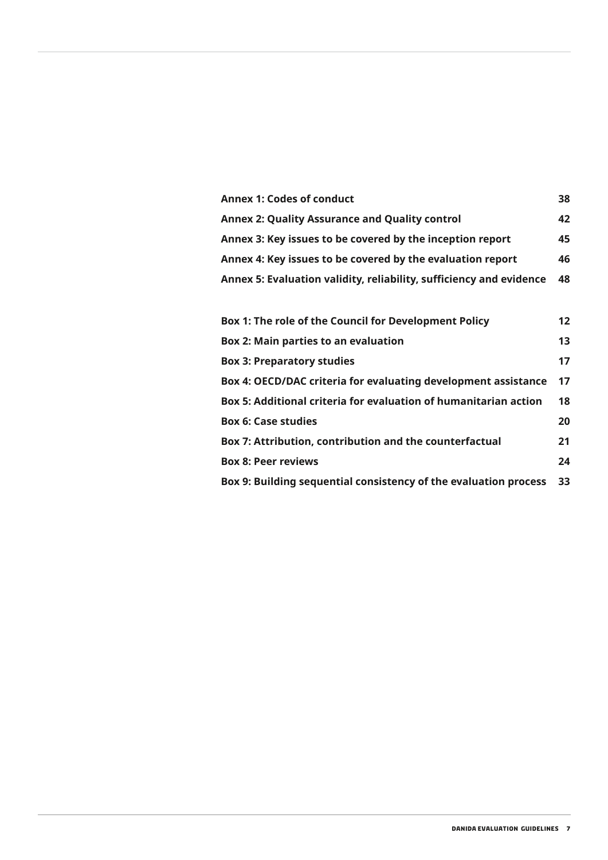| <b>Annex 1: Codes of conduct</b>                                    | 38 |
|---------------------------------------------------------------------|----|
| <b>Annex 2: Quality Assurance and Quality control</b>               | 42 |
| Annex 3: Key issues to be covered by the inception report           | 45 |
| Annex 4: Key issues to be covered by the evaluation report          | 46 |
| Annex 5: Evaluation validity, reliability, sufficiency and evidence | 48 |

| Box 1: The role of the Council for Development Policy            | 12 |
|------------------------------------------------------------------|----|
| <b>Box 2: Main parties to an evaluation</b>                      | 13 |
| <b>Box 3: Preparatory studies</b>                                | 17 |
| Box 4: OECD/DAC criteria for evaluating development assistance   | 17 |
| Box 5: Additional criteria for evaluation of humanitarian action | 18 |
| <b>Box 6: Case studies</b>                                       | 20 |
| Box 7: Attribution, contribution and the counterfactual          | 21 |
| <b>Box 8: Peer reviews</b>                                       | 24 |
| Box 9: Building sequential consistency of the evaluation process | 33 |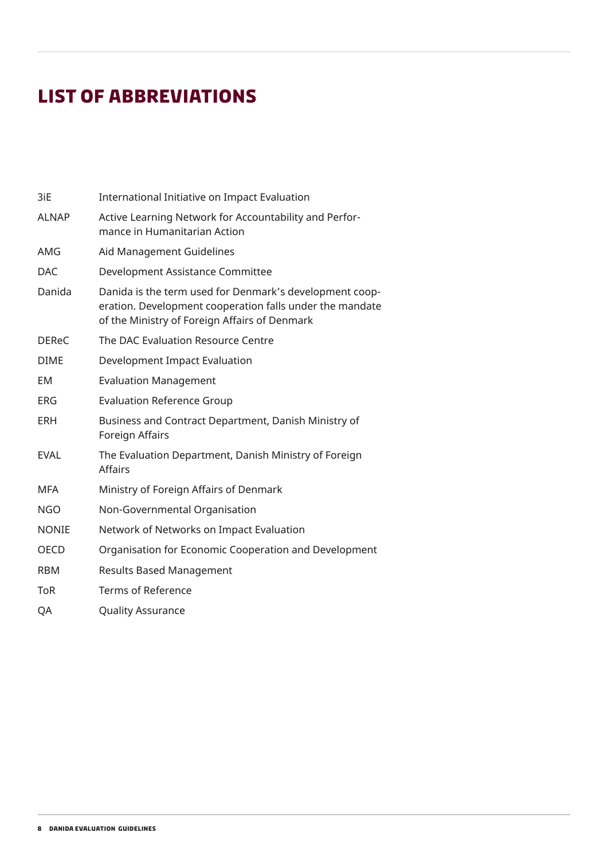## <span id="page-7-0"></span>**List of Abbreviations**

| 3iE          | International Initiative on Impact Evaluation                                                                                                                        |
|--------------|----------------------------------------------------------------------------------------------------------------------------------------------------------------------|
| <b>ALNAP</b> | Active Learning Network for Accountability and Perfor-<br>mance in Humanitarian Action                                                                               |
| AMG          | Aid Management Guidelines                                                                                                                                            |
| <b>DAC</b>   | Development Assistance Committee                                                                                                                                     |
| Danida       | Danida is the term used for Denmark's development coop-<br>eration. Development cooperation falls under the mandate<br>of the Ministry of Foreign Affairs of Denmark |
| <b>DEReC</b> | The DAC Evaluation Resource Centre                                                                                                                                   |
| <b>DIME</b>  | Development Impact Evaluation                                                                                                                                        |
| EM           | <b>Evaluation Management</b>                                                                                                                                         |
| <b>ERG</b>   | <b>Evaluation Reference Group</b>                                                                                                                                    |
| ERH          | Business and Contract Department, Danish Ministry of<br>Foreign Affairs                                                                                              |
| <b>EVAL</b>  | The Evaluation Department, Danish Ministry of Foreign<br><b>Affairs</b>                                                                                              |
| <b>MFA</b>   | Ministry of Foreign Affairs of Denmark                                                                                                                               |
| <b>NGO</b>   | Non-Governmental Organisation                                                                                                                                        |
| <b>NONIE</b> | Network of Networks on Impact Evaluation                                                                                                                             |
| <b>OECD</b>  | Organisation for Economic Cooperation and Development                                                                                                                |
| <b>RBM</b>   | <b>Results Based Management</b>                                                                                                                                      |
| <b>ToR</b>   | Terms of Reference                                                                                                                                                   |
| QA           | <b>Quality Assurance</b>                                                                                                                                             |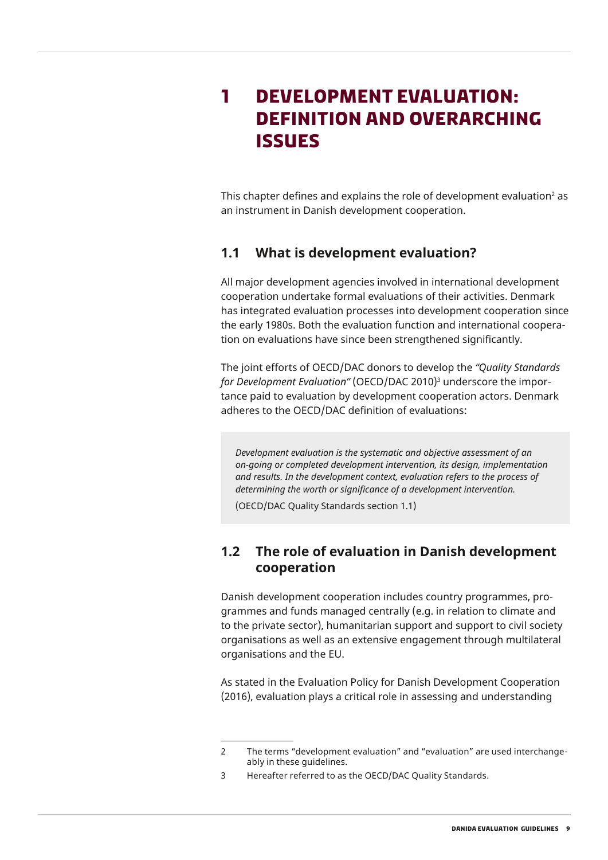## <span id="page-8-0"></span>**1 Development evaluation: definition and overarching Issues**

This chapter defines and explains the role of development evaluation $^{\scriptscriptstyle 2}$  as an instrument in Danish development cooperation.

#### **1.1 What is development evaluation?**

All major development agencies involved in international development cooperation undertake formal evaluations of their activities. Denmark has integrated evaluation processes into development cooperation since the early 1980s. Both the evaluation function and international cooperation on evaluations have since been strengthened significantly.

The joint efforts of OECD/DAC donors to develop the *"Quality Standards for Development Evaluation"* (OECD/DAC 2010)3 underscore the importance paid to evaluation by development cooperation actors. Denmark adheres to the OECD/DAC definition of evaluations:

*Development evaluation is the systematic and objective assessment of an on-going or completed development intervention, its design, implementation and results. In the development context, evaluation refers to the process of determining the worth or significance of a development intervention.* 

(OECD/DAC Quality Standards section 1.1)

#### **1.2 The role of evaluation in Danish development cooperation**

Danish development cooperation includes country programmes, programmes and funds managed centrally (e.g. in relation to climate and to the private sector), humanitarian support and support to civil society organisations as well as an extensive engagement through multilateral organisations and the EU.

As stated in the Evaluation Policy for Danish Development Cooperation (2016), evaluation plays a critical role in assessing and understanding

<sup>2</sup> The terms "development evaluation" and "evaluation" are used interchangeably in these guidelines.

<sup>3</sup> Hereafter referred to as the OECD/DAC Quality Standards.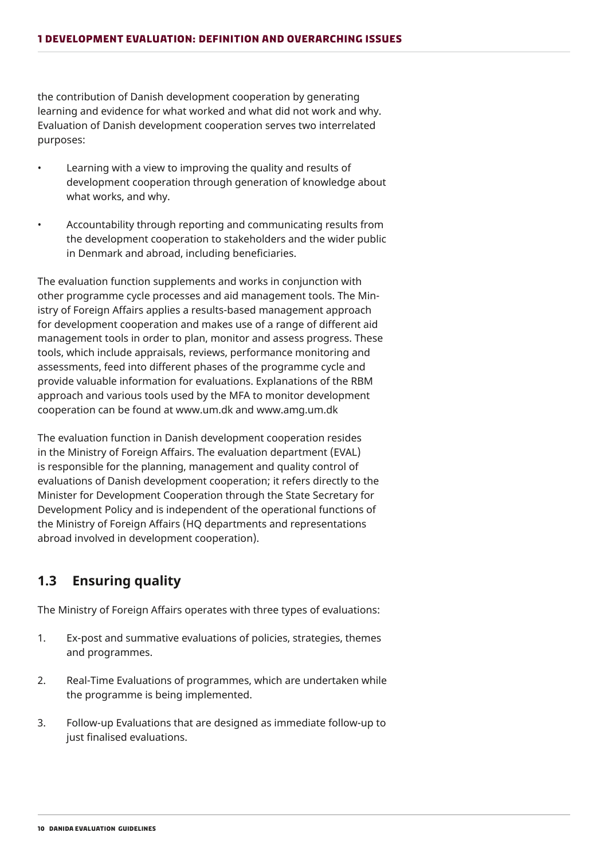<span id="page-9-0"></span>the contribution of Danish development cooperation by generating learning and evidence for what worked and what did not work and why. Evaluation of Danish development cooperation serves two interrelated purposes:

- Learning with a view to improving the quality and results of development cooperation through generation of knowledge about what works, and why.
- Accountability through reporting and communicating results from the development cooperation to stakeholders and the wider public in Denmark and abroad, including beneficiaries.

The evaluation function supplements and works in conjunction with other programme cycle processes and aid management tools. The Ministry of Foreign Affairs applies a results-based management approach for development cooperation and makes use of a range of different aid management tools in order to plan, monitor and assess progress. These tools, which include appraisals, reviews, performance monitoring and assessments, feed into different phases of the programme cycle and provide valuable information for evaluations. Explanations of the RBM approach and various tools used by the MFA to monitor development cooperation can be found at [www.um.dk](http://www.um.dk) and [www.amg.um.dk](http://www.amg.um.dk)

The evaluation function in Danish development cooperation resides in the Ministry of Foreign Affairs. The evaluation department (EVAL) is responsible for the planning, management and quality control of evaluations of Danish development cooperation; it refers directly to the Minister for Development Cooperation through the State Secretary for Development Policy and is independent of the operational functions of the Ministry of Foreign Affairs (HQ departments and representations abroad involved in development cooperation).

#### **1.3 Ensuring quality**

The Ministry of Foreign Affairs operates with three types of evaluations:

- 1. Ex-post and summative evaluations of policies, strategies, themes and programmes.
- 2. Real-Time Evaluations of programmes, which are undertaken while the programme is being implemented.
- 3. Follow-up Evaluations that are designed as immediate follow-up to just finalised evaluations.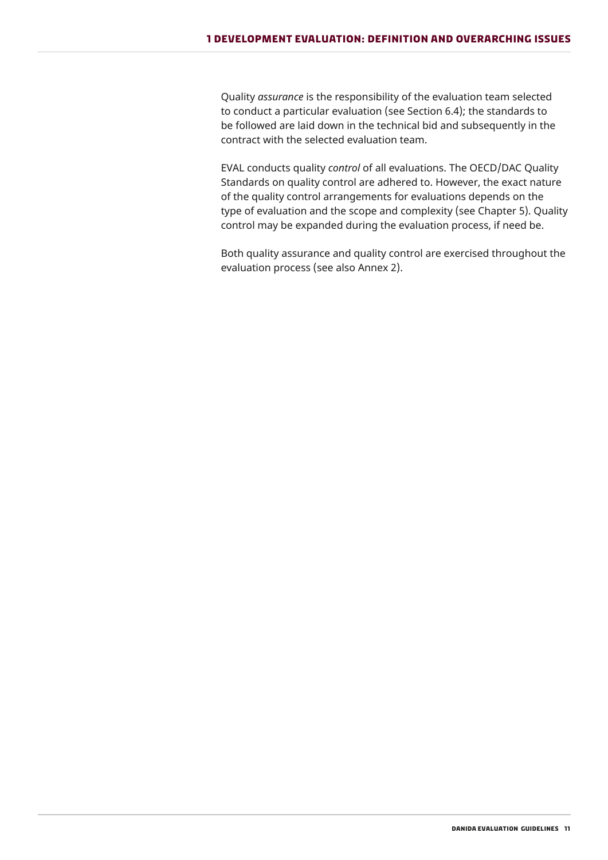Quality *assurance* is the responsibility of the evaluation team selected to conduct a particular evaluation (see Section [6.4\)](#page-27-1); the standards to be followed are laid down in the technical bid and subsequently in the contract with the selected evaluation team.

EVAL conducts quality *control* of all evaluations. The OECD/DAC Quality Standards on quality control are adhered to. However, the exact nature of the quality control arrangements for evaluations depends on the type of evaluation and the scope and complexity (see [Chapter 5\)](#page-22-1). Quality control may be expanded during the evaluation process, if need be.

Both quality assurance and quality control are exercised throughout the evaluation process (see also [Annex 2](#page-41-1)).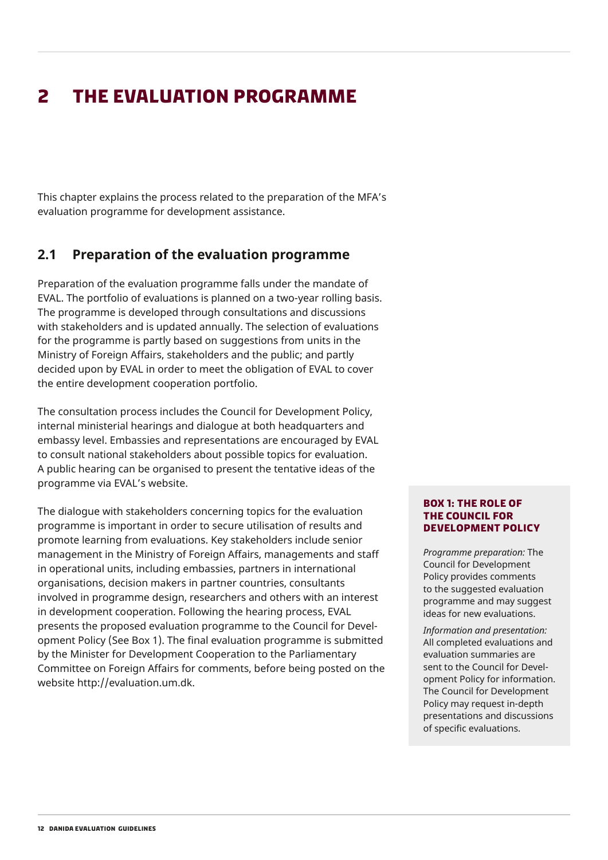## <span id="page-11-0"></span>**2 The evaluation programme**

This chapter explains the process related to the preparation of the MFA's evaluation programme for development assistance.

#### <span id="page-11-2"></span>**2.1 Preparation of the evaluation programme**

Preparation of the evaluation programme falls under the mandate of EVAL. The portfolio of evaluations is planned on a two-year rolling basis. The programme is developed through consultations and discussions with stakeholders and is updated annually. The selection of evaluations for the programme is partly based on suggestions from units in the Ministry of Foreign Affairs, stakeholders and the public; and partly decided upon by EVAL in order to meet the obligation of EVAL to cover the entire development cooperation portfolio.

The consultation process includes the Council for Development Policy, internal ministerial hearings and dialogue at both headquarters and embassy level. Embassies and representations are encouraged by EVAL to consult national stakeholders about possible topics for evaluation. A public hearing can be organised to present the tentative ideas of the programme via EVAL's website.

The dialogue with stakeholders concerning topics for the evaluation programme is important in order to secure utilisation of results and promote learning from evaluations. Key stakeholders include senior management in the Ministry of Foreign Affairs, managements and staff in operational units, including embassies, partners in international organisations, decision makers in partner countries, consultants involved in programme design, researchers and others with an interest in development cooperation. Following the hearing process, EVAL presents the proposed evaluation programme to the Council for Development Policy (See [Box 1\)](#page-11-1). The final evaluation programme is submitted by the Minister for Development Cooperation to the Parliamentary Committee on Foreign Affairs for comments, before being posted on the website <http://evaluation.um.dk>.

#### <span id="page-11-1"></span>**BOX 1: THE ROLE OF THE COUNCIL FOR DEVELOPMENT POLICY**

*Programme preparation:* The Council for Development Policy provides comments to the suggested evaluation programme and may suggest ideas for new evaluations.

*Information and presentation:* All completed evaluations and evaluation summaries are sent to the Council for Development Policy for information. The Council for Development Policy may request in-depth presentations and discussions of specific evaluations.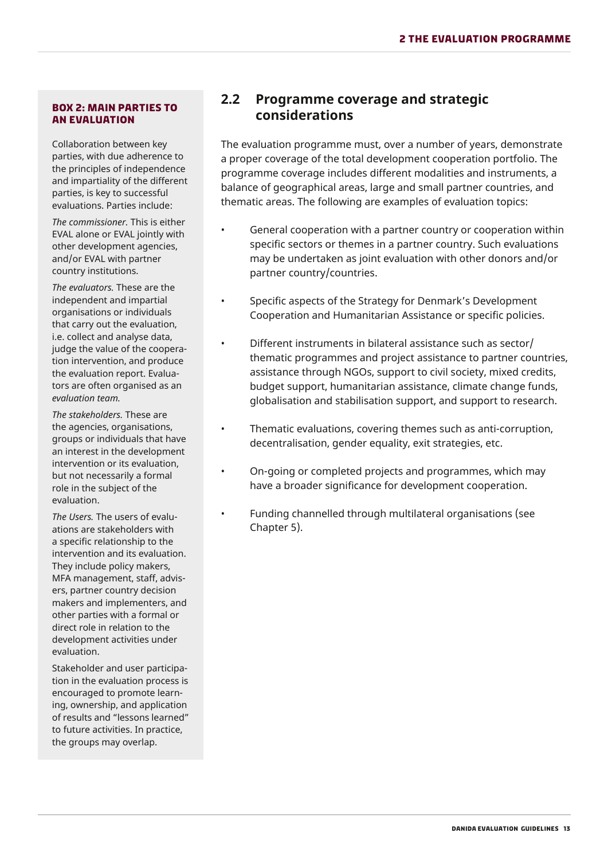#### <span id="page-12-0"></span>**BOX 2: MAIN PARTIES TO AN EVALUATION**

Collaboration between key parties, with due adherence to the principles of independence and impartiality of the different parties, is key to successful evaluations. Parties include:

*The commissioner.* This is either EVAL alone or EVAL jointly with other development agencies, and/or EVAL with partner country institutions.

*The evaluators.* These are the independent and impartial organisations or individuals that carry out the evaluation, i.e. collect and analyse data, judge the value of the cooperation intervention, and produce the evaluation report. Evaluators are often organised as an *evaluation team.*

*The stakeholders.* These are the agencies, organisations, groups or individuals that have an interest in the development intervention or its evaluation, but not necessarily a formal role in the subject of the evaluation.

*The Users.* The users of evaluations are stakeholders with a specific relationship to the intervention and its evaluation. They include policy makers, MFA management, staff, advisers, partner country decision makers and implementers, and other parties with a formal or direct role in relation to the development activities under evaluation.

Stakeholder and user participation in the evaluation process is encouraged to promote learning, ownership, and application of results and "lessons learned" to future activities. In practice, the groups may overlap.

#### **2.2 Programme coverage and strategic considerations**

The evaluation programme must, over a number of years, demonstrate a proper coverage of the total development cooperation portfolio. The programme coverage includes different modalities and instruments, a balance of geographical areas, large and small partner countries, and thematic areas. The following are examples of evaluation topics:

- General cooperation with a partner country or cooperation within specific sectors or themes in a partner country. Such evaluations may be undertaken as joint evaluation with other donors and/or partner country/countries.
- Specific aspects of the Strategy for Denmark's Development Cooperation and Humanitarian Assistance or specific policies.
- Different instruments in bilateral assistance such as sector/ thematic programmes and project assistance to partner countries, assistance through NGOs, support to civil society, mixed credits, budget support, humanitarian assistance, climate change funds, globalisation and stabilisation support, and support to research.
- Thematic evaluations, covering themes such as anti-corruption, decentralisation, gender equality, exit strategies, etc.
- On-going or completed projects and programmes, which may have a broader significance for development cooperation.
- Funding channelled through multilateral organisations (see [Chapter 5](#page-22-1)).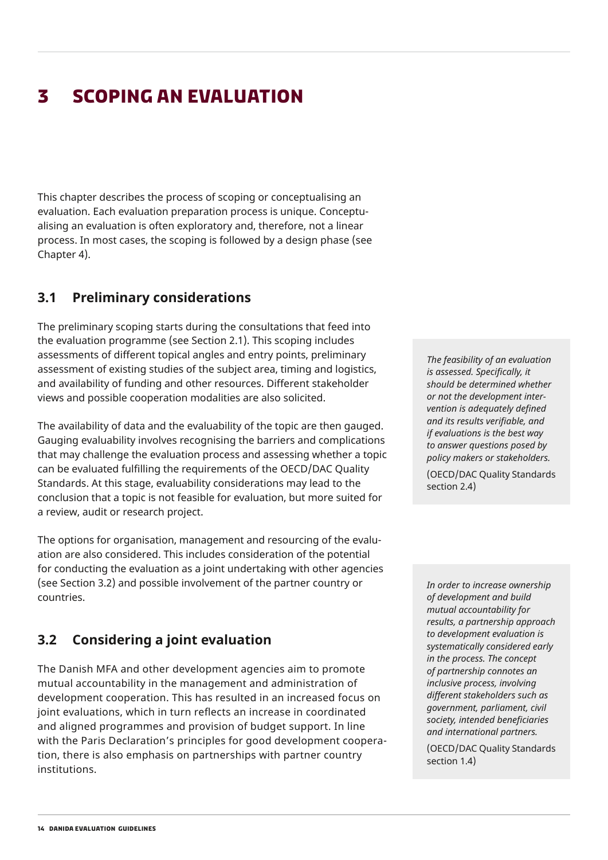## <span id="page-13-0"></span>**3 Scoping an evaluation**

This chapter describes the process of scoping or conceptualising an evaluation. Each evaluation preparation process is unique. Conceptualising an evaluation is often exploratory and, therefore, not a linear process. In most cases, the scoping is followed by a design phase (see Chapter 4).

#### **3.1 Preliminary considerations**

The preliminary scoping starts during the consultations that feed into the evaluation programme (see Section [2.1](#page-11-2)). This scoping includes assessments of different topical angles and entry points, preliminary assessment of existing studies of the subject area, timing and logistics, and availability of funding and other resources. Different stakeholder views and possible cooperation modalities are also solicited.

The availability of data and the evaluability of the topic are then gauged. Gauging evaluability involves recognising the barriers and complications that may challenge the evaluation process and assessing whether a topic can be evaluated fulfilling the requirements of the OECD/DAC Quality Standards. At this stage, evaluability considerations may lead to the conclusion that a topic is not feasible for evaluation, but more suited for a review, audit or research project.

The options for organisation, management and resourcing of the evaluation are also considered. This includes consideration of the potential for conducting the evaluation as a joint undertaking with other agencies (see Section [3.2\)](#page-13-1) and possible involvement of the partner country or countries.

#### <span id="page-13-1"></span>**3.2 Considering a joint evaluation**

The Danish MFA and other development agencies aim to promote mutual accountability in the management and administration of development cooperation. This has resulted in an increased focus on joint evaluations, which in turn reflects an increase in coordinated and aligned programmes and provision of budget support. In line with the Paris Declaration's principles for good development cooperation, there is also emphasis on partnerships with partner country institutions.

*The feasibility of an evaluation is assessed. Specifically, it should be determined whether or not the development intervention is adequately defined and its results verifiable, and if evaluations is the best way to answer questions posed by policy makers or stakeholders.* 

(OECD/DAC Quality Standards section 2.4)

*In order to increase ownership of development and build mutual accountability for results, a partnership approach to development evaluation is systematically considered early in the process. The concept of partnership connotes an inclusive process, involving different stakeholders such as government, parliament, civil society, intended beneficiaries and international partners.* 

(OECD/DAC Quality Standards section 1.4)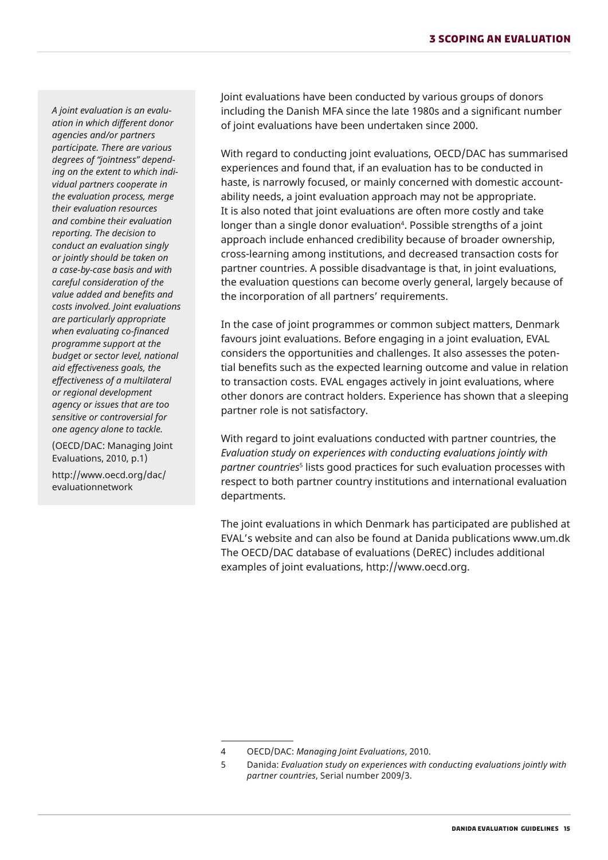*A joint evaluation is an evaluation in which different donor agencies and/or partners participate. There are various degrees of "jointness" depending on the extent to which individual partners cooperate in the evaluation process, merge their evaluation resources and combine their evaluation reporting. The decision to conduct an evaluation singly or jointly should be taken on a case-by-case basis and with careful consideration of the value added and benefits and costs involved. Joint evaluations are particularly appropriate when evaluating co-financed programme support at the budget or sector level, national aid effectiveness goals, the effectiveness of a multilateral or regional development agency or issues that are too sensitive or controversial for one agency alone to tackle.* 

(OECD/DAC: Managing Joint Evaluations, 2010, p.1)

[http://www.oecd.org/dac/](http://www.oecd.org/dac/evaluationnetwork) [evaluationnetwork](http://www.oecd.org/dac/evaluationnetwork)

Joint evaluations have been conducted by various groups of donors including the Danish MFA since the late 1980s and a significant number of joint evaluations have been undertaken since 2000.

With regard to conducting joint evaluations, OECD/DAC has summarised experiences and found that, if an evaluation has to be conducted in haste, is narrowly focused, or mainly concerned with domestic accountability needs, a joint evaluation approach may not be appropriate. It is also noted that joint evaluations are often more costly and take longer than a single donor evaluation<sup>4</sup>. Possible strengths of a joint approach include enhanced credibility because of broader ownership, cross-learning among institutions, and decreased transaction costs for partner countries. A possible disadvantage is that, in joint evaluations, the evaluation questions can become overly general, largely because of the incorporation of all partners' requirements.

In the case of joint programmes or common subject matters, Denmark favours joint evaluations. Before engaging in a joint evaluation, EVAL considers the opportunities and challenges. It also assesses the potential benefits such as the expected learning outcome and value in relation to transaction costs. EVAL engages actively in joint evaluations, where other donors are contract holders. Experience has shown that a sleeping partner role is not satisfactory.

With regard to joint evaluations conducted with partner countries, the *Evaluation study on experiences with conducting evaluations jointly with partner countries*<sup>5</sup> lists good practices for such evaluation processes with respect to both partner country institutions and international evaluation departments.

The joint evaluations in which Denmark has participated are published at EVAL's website and can also be found at Danida publications [www.um.dk](http://www.um.dk) The OECD/DAC database of evaluations (DeREC) includes additional examples of joint evaluations, <http://www.oecd.org>.

<sup>4</sup> OECD/DAC: *Managing Joint Evaluations*, 2010.

<sup>5</sup> Danida: *Evaluation study on experiences with conducting evaluations jointly with partner countries*, Serial number 2009/3.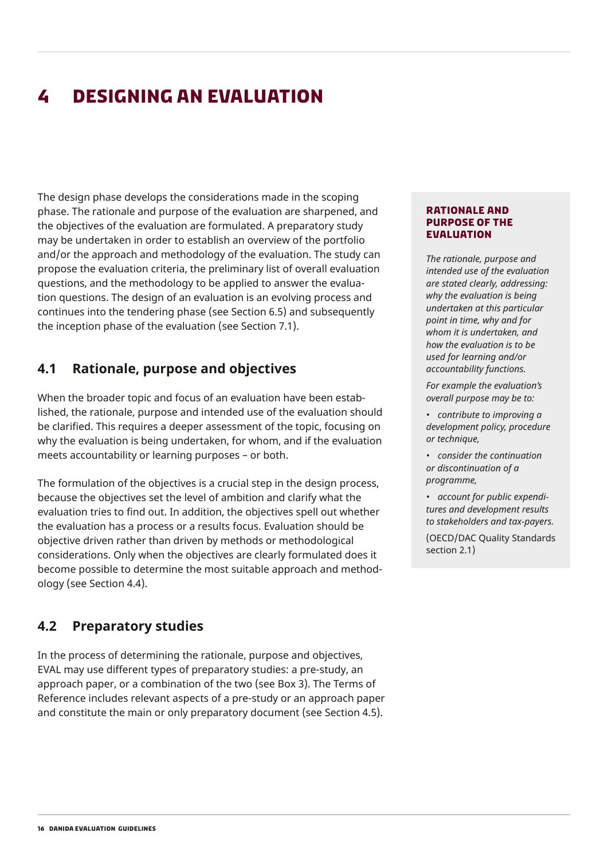## <span id="page-15-0"></span>**4 Designing an evaluation**

The design phase develops the considerations made in the scoping phase. The rationale and purpose of the evaluation are sharpened, and the objectives of the evaluation are formulated. A preparatory study may be undertaken in order to establish an overview of the portfolio and/or the approach and methodology of the evaluation. The study can propose the evaluation criteria, the preliminary list of overall evaluation questions, and the methodology to be applied to answer the evaluation questions. The design of an evaluation is an evolving process and continues into the tendering phase (see Section [6.5](#page-28-1)) and subsequently the inception phase of the evaluation (see Section [7.1\)](#page-30-1).

#### **4.1 Rationale, purpose and objectives**

When the broader topic and focus of an evaluation have been established, the rationale, purpose and intended use of the evaluation should be clarified. This requires a deeper assessment of the topic, focusing on why the evaluation is being undertaken, for whom, and if the evaluation meets accountability or learning purposes – or both.

The formulation of the objectives is a crucial step in the design process, because the objectives set the level of ambition and clarify what the evaluation tries to find out. In addition, the objectives spell out whether the evaluation has a process or a results focus. Evaluation should be objective driven rather than driven by methods or methodological considerations. Only when the objectives are clearly formulated does it become possible to determine the most suitable approach and methodology (see Section [4.4](#page-18-1)).

#### **4.2 Preparatory studies**

In the process of determining the rationale, purpose and objectives, EVAL may use different types of preparatory studies: a pre-study, an approach paper, or a combination of the two (see [Box 3\)](#page-16-1). The Terms of Reference includes relevant aspects of a pre-study or an approach paper and constitute the main or only preparatory document (see Section [4.5\)](#page-21-1).

#### **RATIONALE AND PURPOSE OF THE EVALUATION**

*The rationale, purpose and intended use of the evaluation are stated clearly, addressing: why the evaluation is being undertaken at this particular point in time, why and for whom it is undertaken, and how the evaluation is to be used for learning and/or accountability functions.*

*For example the evaluation's overall purpose may be to:*

*• contribute to improving a development policy, procedure or technique,*

*• consider the continuation or discontinuation of a programme,* 

*• account for public expenditures and development results to stakeholders and tax-payers.* 

(OECD/DAC Quality Standards section 2.1)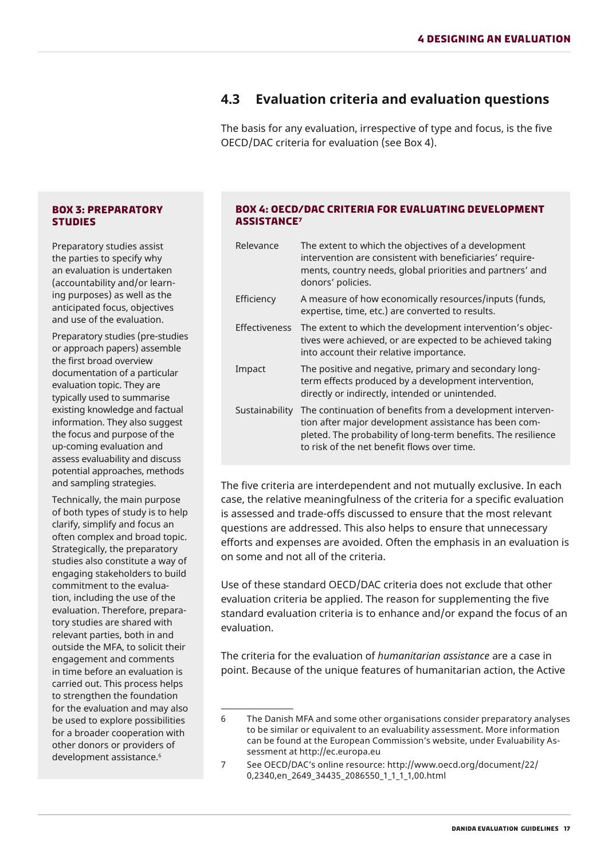#### **4.3 Evaluation criteria and evaluation questions**

The basis for any evaluation, irrespective of type and focus, is the five OECD/DAC criteria for evaluation (see [Box 4\)](#page-16-2).

#### <span id="page-16-1"></span><span id="page-16-0"></span>**BOX 3: PREPARATORY STUDIES**

Preparatory studies assist the parties to specify why an evaluation is undertaken (accountability and/or learning purposes) as well as the anticipated focus, objectives and use of the evaluation.

Preparatory studies (pre-studies or approach papers) assemble the first broad overview documentation of a particular evaluation topic. They are typically used to summarise existing knowledge and factual information. They also suggest the focus and purpose of the up-coming evaluation and assess evaluability and discuss potential approaches, methods and sampling strategies.

Technically, the main purpose of both types of study is to help clarify, simplify and focus an often complex and broad topic. Strategically, the preparatory studies also constitute a way of engaging stakeholders to build commitment to the evaluation, including the use of the evaluation. Therefore, preparatory studies are shared with relevant parties, both in and outside the MFA, to solicit their engagement and comments in time before an evaluation is carried out. This process helps to strengthen the foundation for the evaluation and may also be used to explore possibilities for a broader cooperation with other donors or providers of development assistance.<sup>6</sup>

#### <span id="page-16-2"></span>**BOX 4: OECD/DAC CRITERIA FOR EVALUATING DEVELOPMENT ASSISTANCE7**

| Relevance      | The extent to which the objectives of a development<br>intervention are consistent with beneficiaries' require-<br>ments, country needs, global priorities and partners' and<br>donors' policies.                                  |
|----------------|------------------------------------------------------------------------------------------------------------------------------------------------------------------------------------------------------------------------------------|
| Efficiency     | A measure of how economically resources/inputs (funds,<br>expertise, time, etc.) are converted to results.                                                                                                                         |
| Effectiveness  | The extent to which the development intervention's objec-<br>tives were achieved, or are expected to be achieved taking<br>into account their relative importance.                                                                 |
| Impact         | The positive and negative, primary and secondary long-<br>term effects produced by a development intervention,<br>directly or indirectly, intended or unintended.                                                                  |
| Sustainability | The continuation of benefits from a development interven-<br>tion after major development assistance has been com-<br>pleted. The probability of long-term benefits. The resilience<br>to risk of the net benefit flows over time. |

The five criteria are interdependent and not mutually exclusive. In each case, the relative meaningfulness of the criteria for a specific evaluation is assessed and trade-offs discussed to ensure that the most relevant questions are addressed. This also helps to ensure that unnecessary efforts and expenses are avoided. Often the emphasis in an evaluation is on some and not all of the criteria.

Use of these standard OECD/DAC criteria does not exclude that other evaluation criteria be applied. The reason for supplementing the five standard evaluation criteria is to enhance and/or expand the focus of an evaluation.

The criteria for the evaluation of *humanitarian assistance* are a case in point. Because of the unique features of humanitarian action, the Active

<sup>6</sup> The Danish MFA and some other organisations consider preparatory analyses to be similar or equivalent to an evaluability assessment. More information can be found at the European Commission's website, under Evaluability Assessment at<http://ec.europa.eu>

<sup>7</sup> See OECD/DAC's online resource: http://www.oecd.org/document/22/ 0,2340,en\_2649\_34435\_2086550\_1\_1\_1\_1,00.html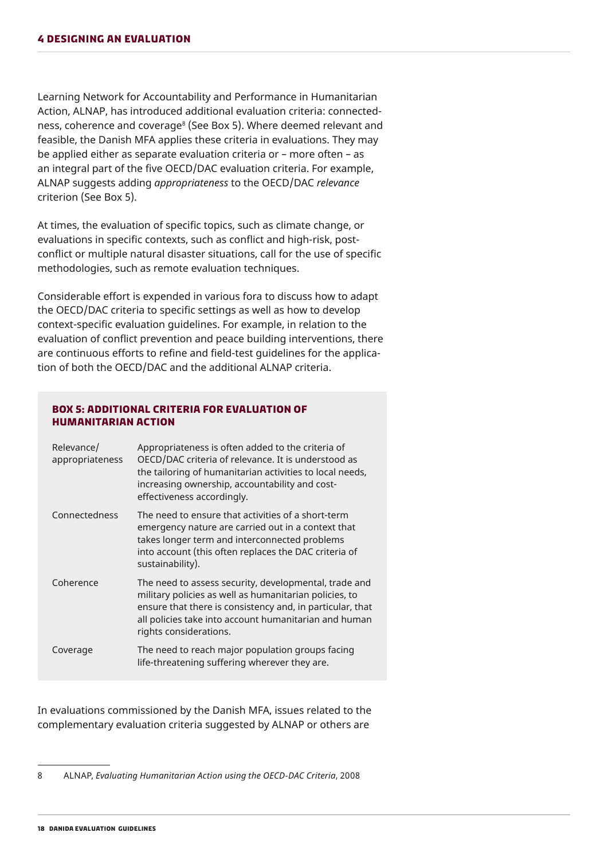<span id="page-17-0"></span>Learning Network for Accountability and Performance in Humanitarian Action, ALNAP, has introduced additional evaluation criteria: connected-ness, coherence and coverage<sup>s</sup> (See [Box 5\)](#page-17-1). Where deemed relevant and feasible, the Danish MFA applies these criteria in evaluations. They may be applied either as separate evaluation criteria or – more often – as an integral part of the five OECD/DAC evaluation criteria. For example, ALNAP suggests adding *appropriateness* to the OECD/DAC *relevance* criterion (See [Box 5\)](#page-17-1).

At times, the evaluation of specific topics, such as climate change, or evaluations in specific contexts, such as conflict and high-risk, postconflict or multiple natural disaster situations, call for the use of specific methodologies, such as remote evaluation techniques.

Considerable effort is expended in various fora to discuss how to adapt the OECD/DAC criteria to specific settings as well as how to develop context-specific evaluation guidelines. For example, in relation to the evaluation of conflict prevention and peace building interventions, there are continuous efforts to refine and field-test guidelines for the application of both the OECD/DAC and the additional ALNAP criteria.

#### <span id="page-17-1"></span>**BOX 5: ADDITIONAL CRITERIA FOR EVALUATION OF HUMANITARIAN ACTION**

| Relevance/<br>appropriateness | Appropriateness is often added to the criteria of<br>OECD/DAC criteria of relevance. It is understood as<br>the tailoring of humanitarian activities to local needs,<br>increasing ownership, accountability and cost-<br>effectiveness accordingly.            |
|-------------------------------|-----------------------------------------------------------------------------------------------------------------------------------------------------------------------------------------------------------------------------------------------------------------|
| Connectedness                 | The need to ensure that activities of a short-term<br>emergency nature are carried out in a context that<br>takes longer term and interconnected problems<br>into account (this often replaces the DAC criteria of<br>sustainability).                          |
| Coherence                     | The need to assess security, developmental, trade and<br>military policies as well as humanitarian policies, to<br>ensure that there is consistency and, in particular, that<br>all policies take into account humanitarian and human<br>rights considerations. |
| Coverage                      | The need to reach major population groups facing<br>life-threatening suffering wherever they are.                                                                                                                                                               |

In evaluations commissioned by the Danish MFA, issues related to the complementary evaluation criteria suggested by ALNAP or others are

<sup>8</sup> ALNAP, *Evaluating Humanitarian Action using the OECD-DAC Criteria*, 2008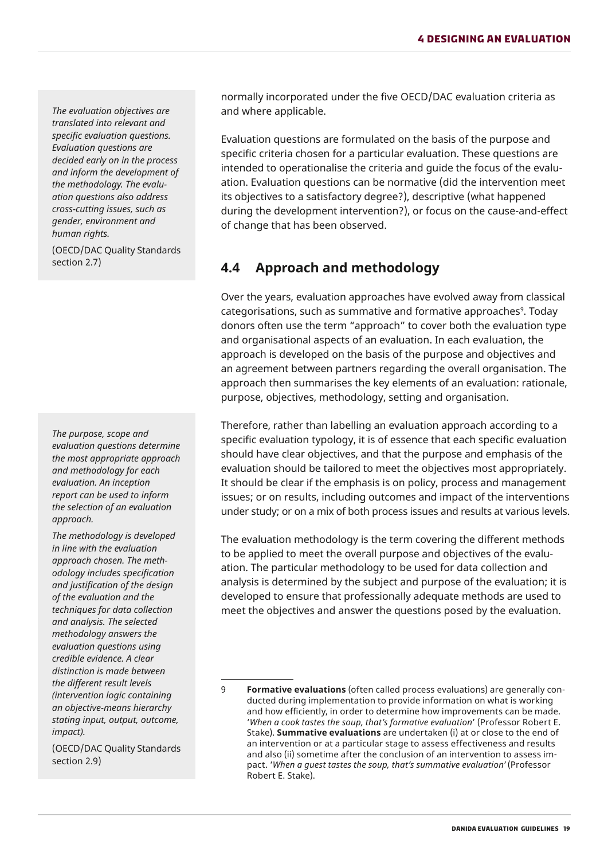<span id="page-18-0"></span>*The evaluation objectives are translated into relevant and specific evaluation questions. Evaluation questions are decided early on in the process and inform the development of the methodology. The evaluation questions also address cross-cutting issues, such as gender, environment and human rights.* 

(OECD/DAC Quality Standards section 2.7)

*The purpose, scope and evaluation questions determine the most appropriate approach and methodology for each evaluation. An inception report can be used to inform the selection of an evaluation approach.* 

*The methodology is developed in line with the evaluation approach chosen. The methodology includes specification and justification of the design of the evaluation and the techniques for data collection and analysis. The selected methodology answers the evaluation questions using credible evidence. A clear distinction is made between the different result levels (intervention logic containing an objective-means hierarchy stating input, output, outcome, impact).*

(OECD/DAC Quality Standards section 2.9)

normally incorporated under the five OECD/DAC evaluation criteria as and where applicable.

Evaluation questions are formulated on the basis of the purpose and specific criteria chosen for a particular evaluation. These questions are intended to operationalise the criteria and guide the focus of the evaluation. Evaluation questions can be normative (did the intervention meet its objectives to a satisfactory degree?), descriptive (what happened during the development intervention?), or focus on the cause-and-effect of change that has been observed.

#### <span id="page-18-1"></span>**4.4 Approach and methodology**

Over the years, evaluation approaches have evolved away from classical categorisations, such as summative and formative approaches<sup>9</sup>. Today donors often use the term "approach" to cover both the evaluation type and organisational aspects of an evaluation. In each evaluation, the approach is developed on the basis of the purpose and objectives and an agreement between partners regarding the overall organisation. The approach then summarises the key elements of an evaluation: rationale, purpose, objectives, methodology, setting and organisation.

Therefore, rather than labelling an evaluation approach according to a specific evaluation typology, it is of essence that each specific evaluation should have clear objectives, and that the purpose and emphasis of the evaluation should be tailored to meet the objectives most appropriately. It should be clear if the emphasis is on policy, process and management issues; or on results, including outcomes and impact of the interventions under study; or on a mix of both process issues and results at various levels.

The evaluation methodology is the term covering the different methods to be applied to meet the overall purpose and objectives of the evaluation. The particular methodology to be used for data collection and analysis is determined by the subject and purpose of the evaluation; it is developed to ensure that professionally adequate methods are used to meet the objectives and answer the questions posed by the evaluation.

<sup>9</sup> **Formative evaluations** (often called process evaluations) are generally conducted during implementation to provide information on what is working and how efficiently, in order to determine how improvements can be made. '*When a cook tastes the soup, that's formative evaluation*' (Professor Robert E. Stake). **Summative evaluations** are undertaken (i) at or close to the end of an intervention or at a particular stage to assess effectiveness and results and also (ii) sometime after the conclusion of an intervention to assess impact. '*When a guest tastes the soup, that's summative evaluation'* (Professor Robert E. Stake).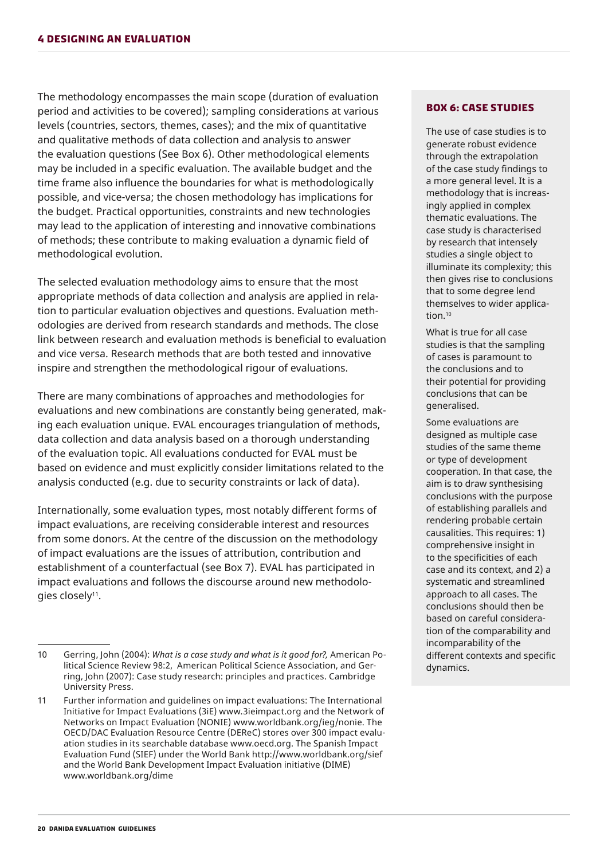<span id="page-19-0"></span>The methodology encompasses the main scope (duration of evaluation period and activities to be covered); sampling considerations at various levels (countries, sectors, themes, cases); and the mix of quantitative and qualitative methods of data collection and analysis to answer the evaluation questions (See [Box 6\)](#page-19-1). Other methodological elements may be included in a specific evaluation. The available budget and the time frame also influence the boundaries for what is methodologically possible, and vice-versa; the chosen methodology has implications for the budget. Practical opportunities, constraints and new technologies may lead to the application of interesting and innovative combinations of methods; these contribute to making evaluation a dynamic field of methodological evolution.

The selected evaluation methodology aims to ensure that the most appropriate methods of data collection and analysis are applied in relation to particular evaluation objectives and questions. Evaluation methodologies are derived from research standards and methods. The close link between research and evaluation methods is beneficial to evaluation and vice versa. Research methods that are both tested and innovative inspire and strengthen the methodological rigour of evaluations.

There are many combinations of approaches and methodologies for evaluations and new combinations are constantly being generated, making each evaluation unique. EVAL encourages triangulation of methods, data collection and data analysis based on a thorough understanding of the evaluation topic. All evaluations conducted for EVAL must be based on evidence and must explicitly consider limitations related to the analysis conducted (e.g. due to security constraints or lack of data).

Internationally, some evaluation types, most notably different forms of impact evaluations, are receiving considerable interest and resources from some donors. At the centre of the discussion on the methodology of impact evaluations are the issues of attribution, contribution and establishment of a counterfactual (see [Box 7\)](#page-20-1). EVAL has participated in impact evaluations and follows the discourse around new methodologies closely<sup>11</sup>.

#### <span id="page-19-1"></span>**BOX 6: CASE STUDIES**

The use of case studies is to generate robust evidence through the extrapolation of the case study findings to a more general level. It is a methodology that is increasingly applied in complex thematic evaluations. The case study is characterised by research that intensely studies a single object to illuminate its complexity; this then gives rise to conclusions that to some degree lend themselves to wider application.<sup>10</sup>

What is true for all case studies is that the sampling of cases is paramount to the conclusions and to their potential for providing conclusions that can be generalised.

Some evaluations are designed as multiple case studies of the same theme or type of development cooperation. In that case, the aim is to draw synthesising conclusions with the purpose of establishing parallels and rendering probable certain causalities. This requires: 1) comprehensive insight in to the specificities of each case and its context, and 2) a systematic and streamlined approach to all cases. The conclusions should then be based on careful consideration of the comparability and incomparability of the different contexts and specific dynamics.

<sup>10</sup> Gerring, John (2004): *What is a case study and what is it good for?,* American Political Science Review 98:2, American Political Science Association, and Gerring, John (2007): Case study research: principles and practices. Cambridge University Press.

<sup>11</sup> Further information and guidelines on impact evaluations: The International Initiative for Impact Evaluations (3iE) [www.3ieimpact.org](http://www.3ieimpact.org) and the Network of Networks on Impact Evaluation (NONIE) [www.worldbank.org/ieg/nonie.](http://www.worldbank.org/ieg/nonie) The OECD/DAC Evaluation Resource Centre (DEReC) stores over 300 impact evaluation studies in its searchable database [www.oecd.org](http://www.oecd.org). The Spanish Impact Evaluation Fund (SIEF) under the World Bank <http://www.worldbank.org/sief> and the World Bank Development Impact Evaluation initiative (DIME) [www.worldbank.org/dime](http://www.worldbank.org/dime)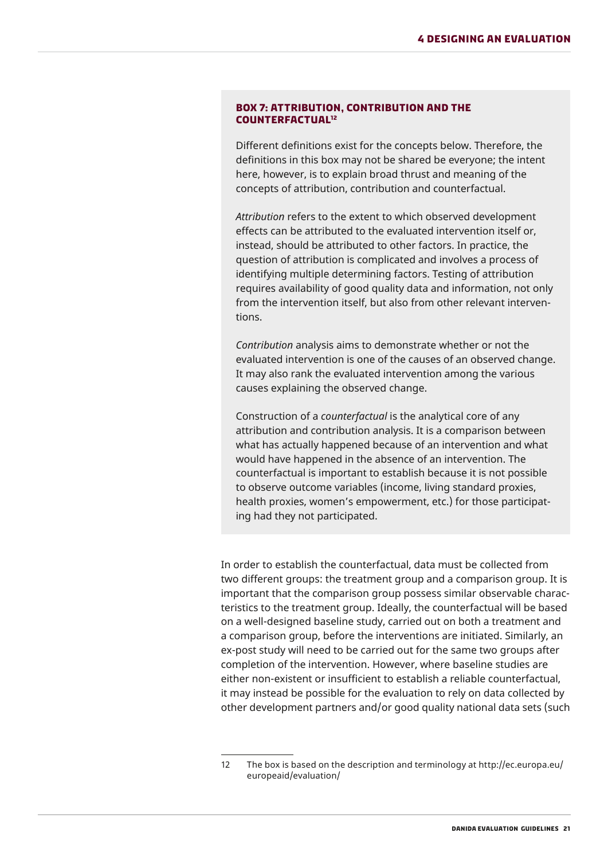#### <span id="page-20-1"></span><span id="page-20-0"></span>**BOX 7: ATTRIBUTION, CONTRIBUTION AND THE COUNTERFACTUAL12**

Different definitions exist for the concepts below. Therefore, the definitions in this box may not be shared be everyone; the intent here, however, is to explain broad thrust and meaning of the concepts of attribution, contribution and counterfactual.

*Attribution* refers to the extent to which observed development effects can be attributed to the evaluated intervention itself or, instead, should be attributed to other factors. In practice, the question of attribution is complicated and involves a process of identifying multiple determining factors. Testing of attribution requires availability of good quality data and information, not only from the intervention itself, but also from other relevant interventions.

*Contribution* analysis aims to demonstrate whether or not the evaluated intervention is one of the causes of an observed change. It may also rank the evaluated intervention among the various causes explaining the observed change.

Construction of a *counterfactual* is the analytical core of any attribution and contribution analysis. It is a comparison between what has actually happened because of an intervention and what would have happened in the absence of an intervention. The counterfactual is important to establish because it is not possible to observe outcome variables (income, living standard proxies, health proxies, women's empowerment, etc.) for those participating had they not participated.

In order to establish the counterfactual, data must be collected from two different groups: the treatment group and a comparison group. It is important that the comparison group possess similar observable characteristics to the treatment group. Ideally, the counterfactual will be based on a well-designed baseline study, carried out on both a treatment and a comparison group, before the interventions are initiated. Similarly, an ex-post study will need to be carried out for the same two groups after completion of the intervention. However, where baseline studies are either non-existent or insufficient to establish a reliable counterfactual, it may instead be possible for the evaluation to rely on data collected by other development partners and/or good quality national data sets (such

<sup>12</sup> The box is based on the description and terminology at http://ec.europa.eu/ europeaid/evaluation/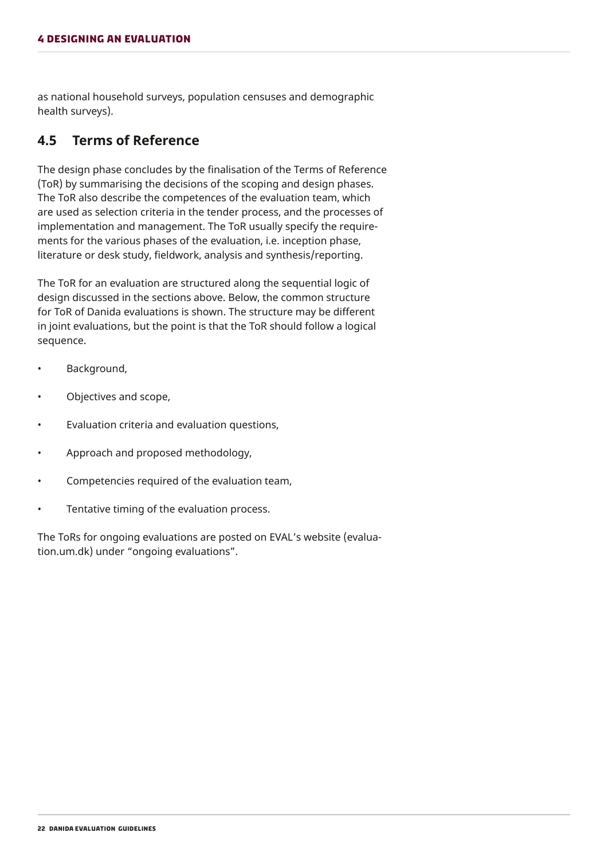<span id="page-21-0"></span>as national household surveys, population censuses and demographic health surveys).

#### <span id="page-21-1"></span>**4.5 Terms of Reference**

The design phase concludes by the finalisation of the Terms of Reference (ToR) by summarising the decisions of the scoping and design phases. The ToR also describe the competences of the evaluation team, which are used as selection criteria in the tender process, and the processes of implementation and management. The ToR usually specify the requirements for the various phases of the evaluation, i.e. inception phase, literature or desk study, fieldwork, analysis and synthesis/reporting.

The ToR for an evaluation are structured along the sequential logic of design discussed in the sections above. Below, the common structure for ToR of Danida evaluations is shown. The structure may be different in joint evaluations, but the point is that the ToR should follow a logical sequence.

- Background,
- Objectives and scope,
- Evaluation criteria and evaluation questions,
- Approach and proposed methodology,
- Competencies required of the evaluation team,
- Tentative timing of the evaluation process.

The ToRs for ongoing evaluations are posted on EVAL's website ([evalua](http://evaluation.um.dk)[tion.um.dk\)](http://evaluation.um.dk) under "ongoing evaluations".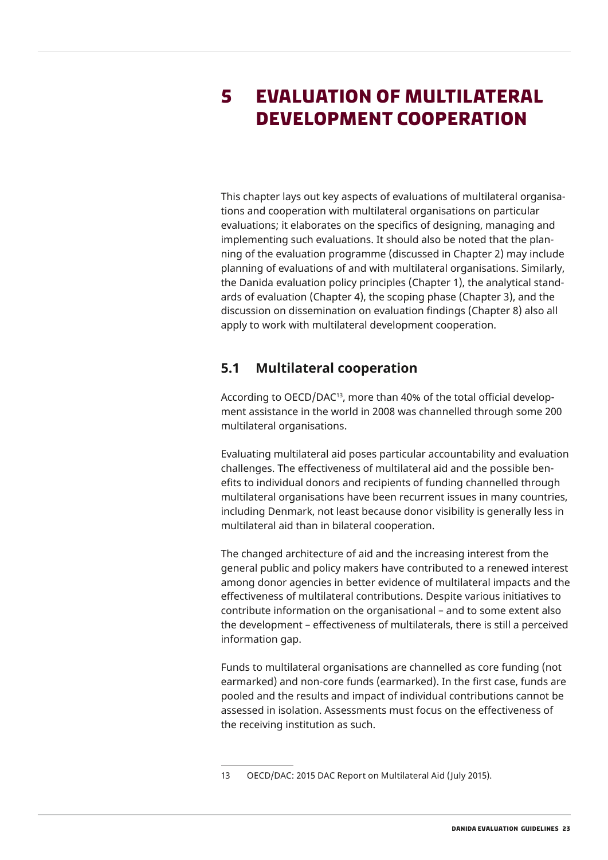## <span id="page-22-1"></span><span id="page-22-0"></span>**5 Evaluation of multilateral development cooperation**

This chapter lays out key aspects of evaluations of multilateral organisations and cooperation with multilateral organisations on particular evaluations; it elaborates on the specifics of designing, managing and implementing such evaluations. It should also be noted that the planning of the evaluation programme (discussed in Chapter 2) may include planning of evaluations of and with multilateral organisations. Similarly, the Danida evaluation policy principles (Chapter 1), the analytical standards of evaluation (Chapter 4), the scoping phase (Chapter 3), and the discussion on dissemination on evaluation findings (Chapter 8) also all apply to work with multilateral development cooperation.

#### **5.1 Multilateral cooperation**

According to OECD/DAC13, more than 40% of the total official development assistance in the world in 2008 was channelled through some 200 multilateral organisations.

Evaluating multilateral aid poses particular accountability and evaluation challenges. The effectiveness of multilateral aid and the possible benefits to individual donors and recipients of funding channelled through multilateral organisations have been recurrent issues in many countries, including Denmark, not least because donor visibility is generally less in multilateral aid than in bilateral cooperation.

The changed architecture of aid and the increasing interest from the general public and policy makers have contributed to a renewed interest among donor agencies in better evidence of multilateral impacts and the effectiveness of multilateral contributions. Despite various initiatives to contribute information on the organisational – and to some extent also the development – effectiveness of multilaterals, there is still a perceived information gap.

Funds to multilateral organisations are channelled as core funding (not earmarked) and non-core funds (earmarked). In the first case, funds are pooled and the results and impact of individual contributions cannot be assessed in isolation. Assessments must focus on the effectiveness of the receiving institution as such.

<sup>13</sup> OECD/DAC: 2015 DAC Report on Multilateral Aid (July 2015).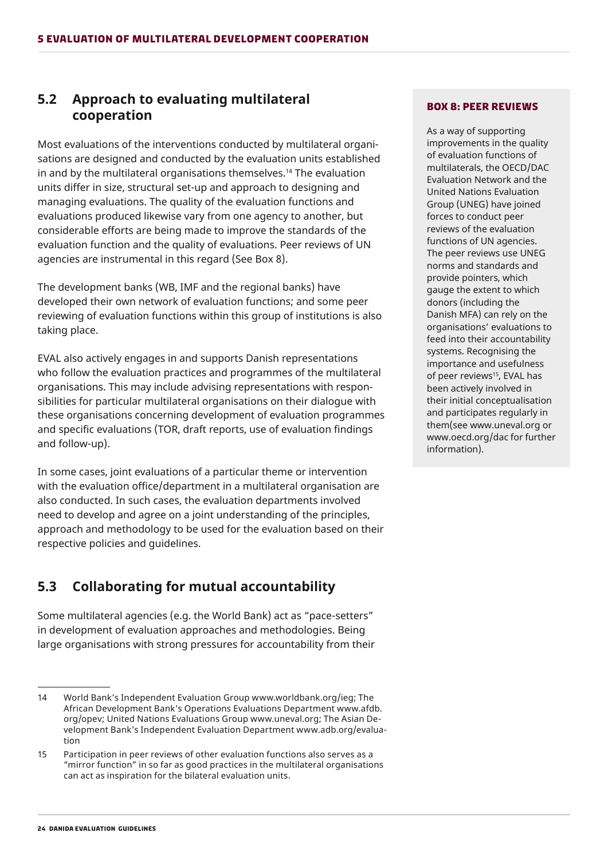#### <span id="page-23-0"></span>**5.2 Approach to evaluating multilateral cooperation**

Most evaluations of the interventions conducted by multilateral organisations are designed and conducted by the evaluation units established in and by the multilateral organisations themselves.<sup>14</sup> The evaluation units differ in size, structural set-up and approach to designing and managing evaluations. The quality of the evaluation functions and evaluations produced likewise vary from one agency to another, but considerable efforts are being made to improve the standards of the evaluation function and the quality of evaluations. Peer reviews of UN agencies are instrumental in this regard (See [Box 8\)](#page-23-1).

The development banks (WB, IMF and the regional banks) have developed their own network of evaluation functions; and some peer reviewing of evaluation functions within this group of institutions is also taking place.

EVAL also actively engages in and supports Danish representations who follow the evaluation practices and programmes of the multilateral organisations. This may include advising representations with responsibilities for particular multilateral organisations on their dialogue with these organisations concerning development of evaluation programmes and specific evaluations (TOR, draft reports, use of evaluation findings and follow-up).

In some cases, joint evaluations of a particular theme or intervention with the evaluation office/department in a multilateral organisation are also conducted. In such cases, the evaluation departments involved need to develop and agree on a joint understanding of the principles, approach and methodology to be used for the evaluation based on their respective policies and guidelines.

#### **5.3 Collaborating for mutual accountability**

Some multilateral agencies (e.g. the World Bank) act as "pace-setters" in development of evaluation approaches and methodologies. Being large organisations with strong pressures for accountability from their

#### <span id="page-23-1"></span>**BOX 8: PEER REVIEWS**

As a way of supporting improvements in the quality of evaluation functions of multilaterals, the OECD/DAC Evaluation Network and the United Nations Evaluation Group (UNEG) have joined forces to conduct peer reviews of the evaluation functions of UN agencies. The peer reviews use UNEG norms and standards and provide pointers, which gauge the extent to which donors (including the Danish MFA) can rely on the organisations' evaluations to feed into their accountability systems. Recognising the importance and usefulness of peer reviews<sup>15</sup>. EVAL has been actively involved in their initial conceptualisation and participates regularly in them(see [www.uneval.org](http://www.uneval.org) or [www.oecd.org/dac](http://www.oecd.org/dac) for further information).

<sup>14</sup> World Bank's Independent Evaluation Group [www.worldbank.org/ieg](http://www.worldbank.org/ieg); The African Development Bank's Operations Evaluations Department [www.afdb.](http://www.afdb.org/opev) [org/opev;](http://www.afdb.org/opev) United Nations Evaluations Group [www.uneval.org](http://www.uneval.org); The Asian Development Bank's Independent Evaluation Department [www.adb.org/evalua](http://www.adb.org/evaluation)[tion](http://www.adb.org/evaluation)

<sup>15</sup> Participation in peer reviews of other evaluation functions also serves as a "mirror function" in so far as good practices in the multilateral organisations can act as inspiration for the bilateral evaluation units.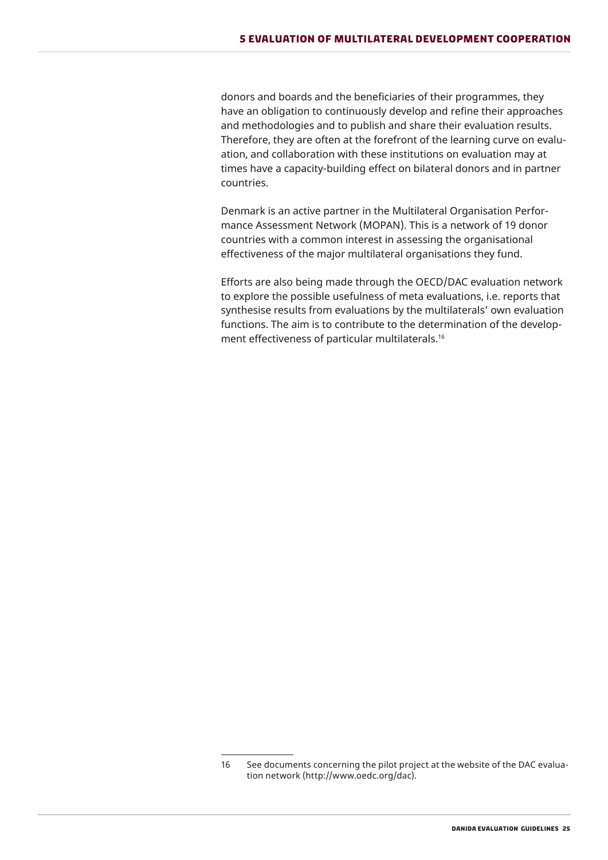donors and boards and the beneficiaries of their programmes, they have an obligation to continuously develop and refine their approaches and methodologies and to publish and share their evaluation results. Therefore, they are often at the forefront of the learning curve on evaluation, and collaboration with these institutions on evaluation may at times have a capacity-building effect on bilateral donors and in partner countries.

Denmark is an active partner in the Multilateral Organisation Performance Assessment Network (MOPAN). This is a network of 19 donor countries with a common interest in assessing the organisational effectiveness of the major multilateral organisations they fund.

Efforts are also being made through the OECD/DAC evaluation network to explore the possible usefulness of meta evaluations, i.e. reports that synthesise results from evaluations by the multilaterals' own evaluation functions. The aim is to contribute to the determination of the development effectiveness of particular multilaterals.16

<sup>16</sup> See documents concerning the pilot project at the website of the DAC evaluation network [\(http://www.oedc.org/dac\)](http://www.oedc.org/dac).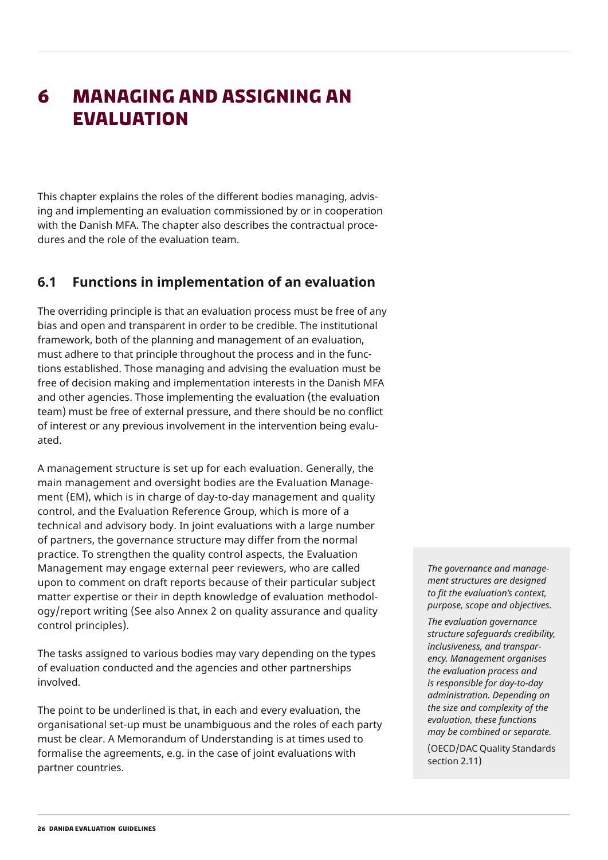## <span id="page-25-0"></span>**6 Managing and assigning an evaluation**

This chapter explains the roles of the different bodies managing, advising and implementing an evaluation commissioned by or in cooperation with the Danish MFA. The chapter also describes the contractual procedures and the role of the evaluation team.

#### **6.1 Functions in implementation of an evaluation**

The overriding principle is that an evaluation process must be free of any bias and open and transparent in order to be credible. The institutional framework, both of the planning and management of an evaluation, must adhere to that principle throughout the process and in the functions established. Those managing and advising the evaluation must be free of decision making and implementation interests in the Danish MFA and other agencies. Those implementing the evaluation (the evaluation team) must be free of external pressure, and there should be no conflict of interest or any previous involvement in the intervention being evaluated.

A management structure is set up for each evaluation. Generally, the main management and oversight bodies are the Evaluation Management (EM), which is in charge of day-to-day management and quality control, and the Evaluation Reference Group, which is more of a technical and advisory body. In joint evaluations with a large number of partners, the governance structure may differ from the normal practice. To strengthen the quality control aspects, the Evaluation Management may engage external peer reviewers, who are called upon to comment on draft reports because of their particular subject matter expertise or their in depth knowledge of evaluation methodology/report writing (See also [Annex 2](#page-41-1) on quality assurance and quality control principles).

The tasks assigned to various bodies may vary depending on the types of evaluation conducted and the agencies and other partnerships involved.

The point to be underlined is that, in each and every evaluation, the organisational set-up must be unambiguous and the roles of each party must be clear. A Memorandum of Understanding is at times used to formalise the agreements, e.g. in the case of joint evaluations with partner countries.

*The governance and management structures are designed to fit the evaluation's context, purpose, scope and objectives.* 

*The evaluation governance structure safeguards credibility, inclusiveness, and transparency. Management organises the evaluation process and is responsible for day-to-day administration. Depending on the size and complexity of the evaluation, these functions may be combined or separate.* 

(OECD/DAC Quality Standards section 2.11)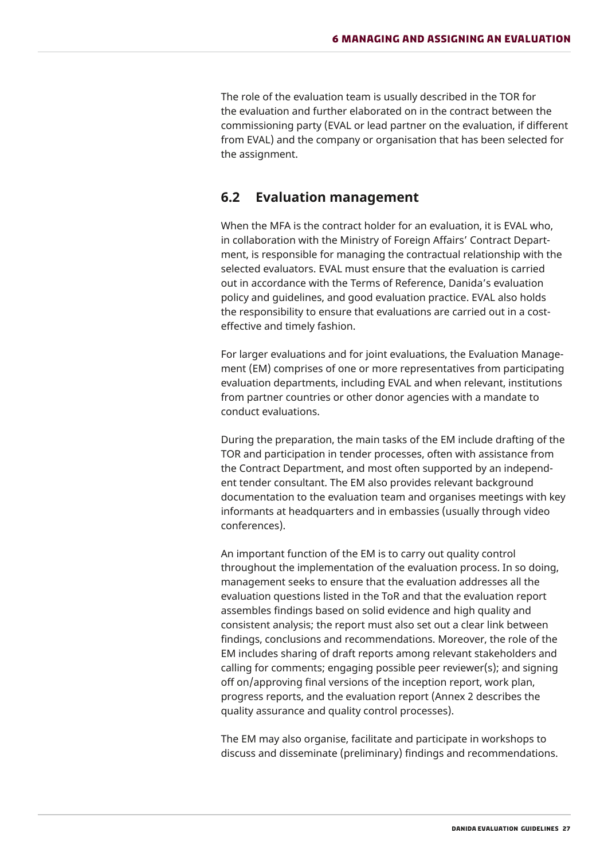<span id="page-26-0"></span>The role of the evaluation team is usually described in the TOR for the evaluation and further elaborated on in the contract between the commissioning party (EVAL or lead partner on the evaluation, if different from EVAL) and the company or organisation that has been selected for the assignment.

#### **6.2 Evaluation management**

When the MFA is the contract holder for an evaluation, it is EVAL who, in collaboration with the Ministry of Foreign Affairs' Contract Department, is responsible for managing the contractual relationship with the selected evaluators. EVAL must ensure that the evaluation is carried out in accordance with the Terms of Reference, Danida's evaluation policy and guidelines, and good evaluation practice. EVAL also holds the responsibility to ensure that evaluations are carried out in a costeffective and timely fashion.

For larger evaluations and for joint evaluations, the Evaluation Management (EM) comprises of one or more representatives from participating evaluation departments, including EVAL and when relevant, institutions from partner countries or other donor agencies with a mandate to conduct evaluations.

During the preparation, the main tasks of the EM include drafting of the TOR and participation in tender processes, often with assistance from the Contract Department, and most often supported by an independent tender consultant. The EM also provides relevant background documentation to the evaluation team and organises meetings with key informants at headquarters and in embassies (usually through video conferences).

An important function of the EM is to carry out quality control throughout the implementation of the evaluation process. In so doing, management seeks to ensure that the evaluation addresses all the evaluation questions listed in the ToR and that the evaluation report assembles findings based on solid evidence and high quality and consistent analysis; the report must also set out a clear link between findings, conclusions and recommendations. Moreover, the role of the EM includes sharing of draft reports among relevant stakeholders and calling for comments; engaging possible peer reviewer(s); and signing off on/approving final versions of the inception report, work plan, progress reports, and the evaluation report (Annex 2 describes the quality assurance and quality control processes).

The EM may also organise, facilitate and participate in workshops to discuss and disseminate (preliminary) findings and recommendations.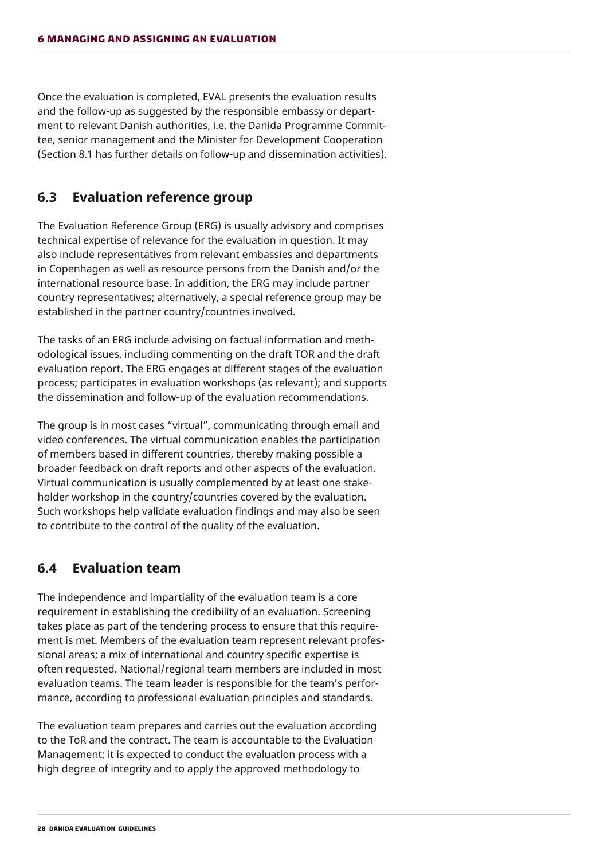<span id="page-27-0"></span>Once the evaluation is completed, EVAL presents the evaluation results and the follow-up as suggested by the responsible embassy or department to relevant Danish authorities, i.e. the Danida Programme Committee, senior management and the Minister for Development Cooperation (Section 8.1 has further details on follow-up and dissemination activities).

#### **6.3 Evaluation reference group**

The Evaluation Reference Group (ERG) is usually advisory and comprises technical expertise of relevance for the evaluation in question. It may also include representatives from relevant embassies and departments in Copenhagen as well as resource persons from the Danish and/or the international resource base. In addition, the ERG may include partner country representatives; alternatively, a special reference group may be established in the partner country/countries involved.

The tasks of an ERG include advising on factual information and methodological issues, including commenting on the draft TOR and the draft evaluation report. The ERG engages at different stages of the evaluation process; participates in evaluation workshops (as relevant); and supports the dissemination and follow-up of the evaluation recommendations.

The group is in most cases "virtual", communicating through email and video conferences. The virtual communication enables the participation of members based in different countries, thereby making possible a broader feedback on draft reports and other aspects of the evaluation. Virtual communication is usually complemented by at least one stakeholder workshop in the country/countries covered by the evaluation. Such workshops help validate evaluation findings and may also be seen to contribute to the control of the quality of the evaluation.

#### <span id="page-27-1"></span>**6.4 Evaluation team**

The independence and impartiality of the evaluation team is a core requirement in establishing the credibility of an evaluation. Screening takes place as part of the tendering process to ensure that this requirement is met. Members of the evaluation team represent relevant professional areas; a mix of international and country specific expertise is often requested. National/regional team members are included in most evaluation teams. The team leader is responsible for the team's performance, according to professional evaluation principles and standards.

The evaluation team prepares and carries out the evaluation according to the ToR and the contract. The team is accountable to the Evaluation Management; it is expected to conduct the evaluation process with a high degree of integrity and to apply the approved methodology to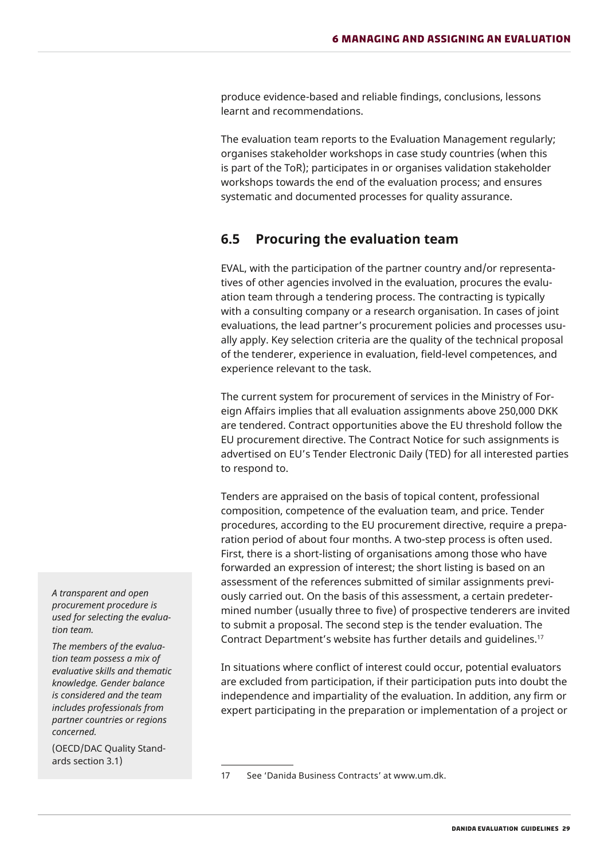<span id="page-28-0"></span>produce evidence-based and reliable findings, conclusions, lessons learnt and recommendations.

The evaluation team reports to the Evaluation Management regularly; organises stakeholder workshops in case study countries (when this is part of the ToR); participates in or organises validation stakeholder workshops towards the end of the evaluation process; and ensures systematic and documented processes for quality assurance.

#### <span id="page-28-1"></span>**6.5 Procuring the evaluation team**

EVAL, with the participation of the partner country and/or representatives of other agencies involved in the evaluation, procures the evaluation team through a tendering process. The contracting is typically with a consulting company or a research organisation. In cases of joint evaluations, the lead partner's procurement policies and processes usually apply. Key selection criteria are the quality of the technical proposal of the tenderer, experience in evaluation, field-level competences, and experience relevant to the task.

The current system for procurement of services in the Ministry of Foreign Affairs implies that all evaluation assignments above 250,000 DKK are tendered. Contract opportunities above the EU threshold follow the EU procurement directive. The Contract Notice for such assignments is advertised on EU's Tender Electronic Daily (TED) for all interested parties to respond to.

Tenders are appraised on the basis of topical content, professional composition, competence of the evaluation team, and price. Tender procedures, according to the EU procurement directive, require a preparation period of about four months. A two-step process is often used. First, there is a short-listing of organisations among those who have forwarded an expression of interest; the short listing is based on an assessment of the references submitted of similar assignments previously carried out. On the basis of this assessment, a certain predetermined number (usually three to five) of prospective tenderers are invited to submit a proposal. The second step is the tender evaluation. The Contract Department's website has further details and guidelines.17

In situations where conflict of interest could occur, potential evaluators are excluded from participation, if their participation puts into doubt the independence and impartiality of the evaluation. In addition, any firm or expert participating in the preparation or implementation of a project or

*A transparent and open procurement procedure is used for selecting the evaluation team.*

*The members of the evaluation team possess a mix of evaluative skills and thematic knowledge. Gender balance is considered and the team includes professionals from partner countries or regions concerned.* 

(OECD/DAC Quality Standards section 3.1)

<sup>17</sup> See 'Danida Business Contracts' at [www.um.dk.](http://www.um.dk/)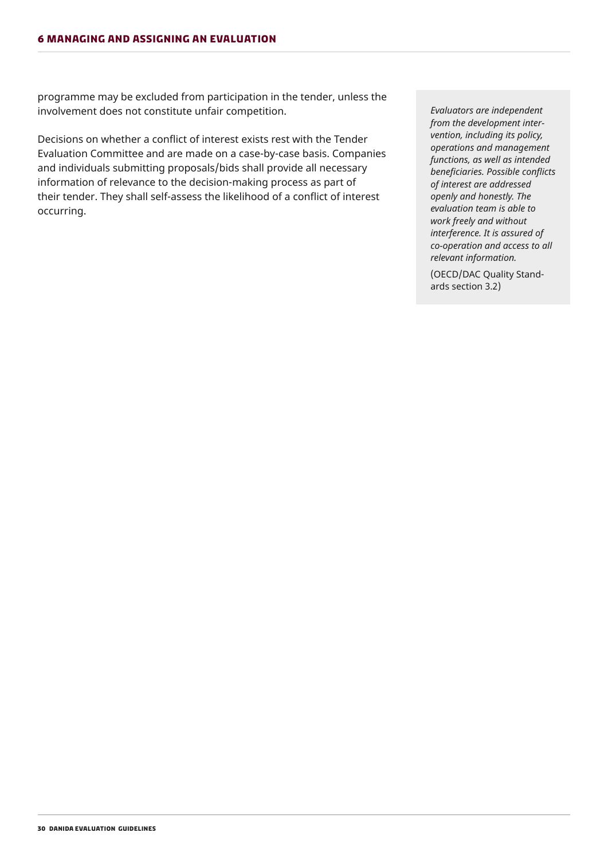programme may be excluded from participation in the tender, unless the involvement does not constitute unfair competition.

Decisions on whether a conflict of interest exists rest with the Tender Evaluation Committee and are made on a case-by-case basis. Companies and individuals submitting proposals/bids shall provide all necessary information of relevance to the decision-making process as part of their tender. They shall self-assess the likelihood of a conflict of interest occurring.

*Evaluators are independent from the development intervention, including its policy, operations and management functions, as well as intended beneficiaries. Possible conflicts of interest are addressed openly and honestly. The evaluation team is able to work freely and without interference. It is assured of co-operation and access to all relevant information.* 

(OECD/DAC Quality Standards section 3.2)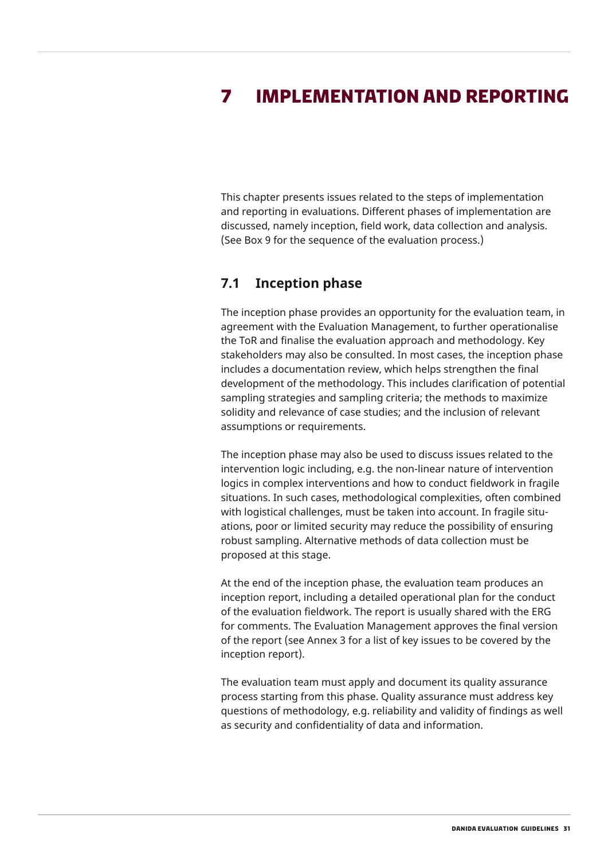## <span id="page-30-0"></span>**7 Implementation and reporting**

This chapter presents issues related to the steps of implementation and reporting in evaluations. Different phases of implementation are discussed, namely inception, field work, data collection and analysis. (See [Box 9](#page-32-1) for the sequence of the evaluation process.)

#### <span id="page-30-1"></span>**7.1 Inception phase**

The inception phase provides an opportunity for the evaluation team, in agreement with the Evaluation Management, to further operationalise the ToR and finalise the evaluation approach and methodology. Key stakeholders may also be consulted. In most cases, the inception phase includes a documentation review, which helps strengthen the final development of the methodology. This includes clarification of potential sampling strategies and sampling criteria; the methods to maximize solidity and relevance of case studies; and the inclusion of relevant assumptions or requirements.

The inception phase may also be used to discuss issues related to the intervention logic including, e.g. the non-linear nature of intervention logics in complex interventions and how to conduct fieldwork in fragile situations. In such cases, methodological complexities, often combined with logistical challenges, must be taken into account. In fragile situations, poor or limited security may reduce the possibility of ensuring robust sampling. Alternative methods of data collection must be proposed at this stage.

At the end of the inception phase, the evaluation team produces an inception report, including a detailed operational plan for the conduct of the evaluation fieldwork. The report is usually shared with the ERG for comments. The Evaluation Management approves the final version of the report (see [Annex 3](#page-44-1) for a list of key issues to be covered by the inception report).

The evaluation team must apply and document its quality assurance process starting from this phase. Quality assurance must address key questions of methodology, e.g. reliability and validity of findings as well as security and confidentiality of data and information.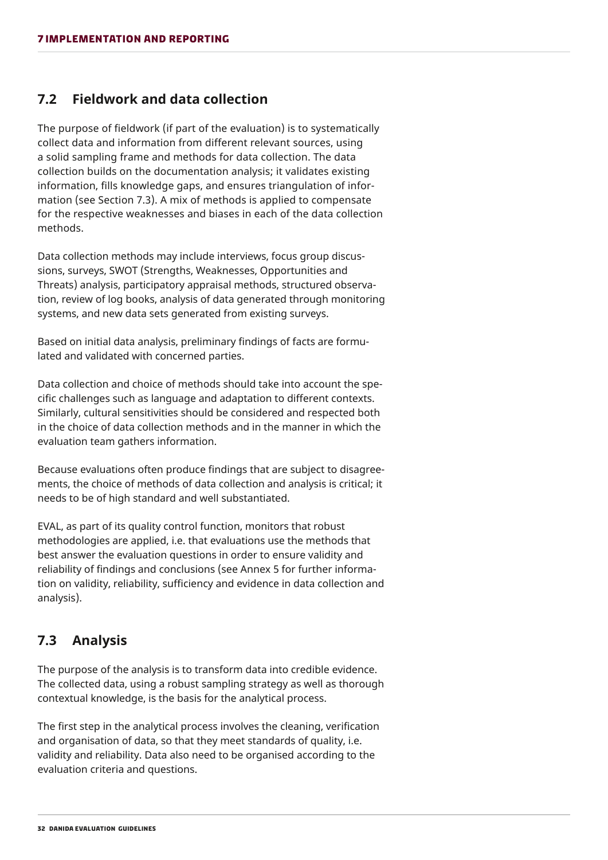#### <span id="page-31-0"></span>**7.2 Fieldwork and data collection**

The purpose of fieldwork (if part of the evaluation) is to systematically collect data and information from different relevant sources, using a solid sampling frame and methods for data collection. The data collection builds on the documentation analysis; it validates existing information, fills knowledge gaps, and ensures triangulation of information (see Section [7.3\)](#page-31-1). A mix of methods is applied to compensate for the respective weaknesses and biases in each of the data collection methods.

Data collection methods may include interviews, focus group discussions, surveys, SWOT (Strengths, Weaknesses, Opportunities and Threats) analysis, participatory appraisal methods, structured observation, review of log books, analysis of data generated through monitoring systems, and new data sets generated from existing surveys.

Based on initial data analysis, preliminary findings of facts are formulated and validated with concerned parties.

Data collection and choice of methods should take into account the specific challenges such as language and adaptation to different contexts. Similarly, cultural sensitivities should be considered and respected both in the choice of data collection methods and in the manner in which the evaluation team gathers information.

Because evaluations often produce findings that are subject to disagreements, the choice of methods of data collection and analysis is critical; it needs to be of high standard and well substantiated.

EVAL, as part of its quality control function, monitors that robust methodologies are applied, i.e. that evaluations use the methods that best answer the evaluation questions in order to ensure validity and reliability of findings and conclusions (see [Annex 5](#page-47-1) for further information on validity, reliability, sufficiency and evidence in data collection and analysis).

#### <span id="page-31-1"></span>**7.3 Analysis**

The purpose of the analysis is to transform data into credible evidence. The collected data, using a robust sampling strategy as well as thorough contextual knowledge, is the basis for the analytical process.

The first step in the analytical process involves the cleaning, verification and organisation of data, so that they meet standards of quality, i.e. validity and reliability. Data also need to be organised according to the evaluation criteria and questions.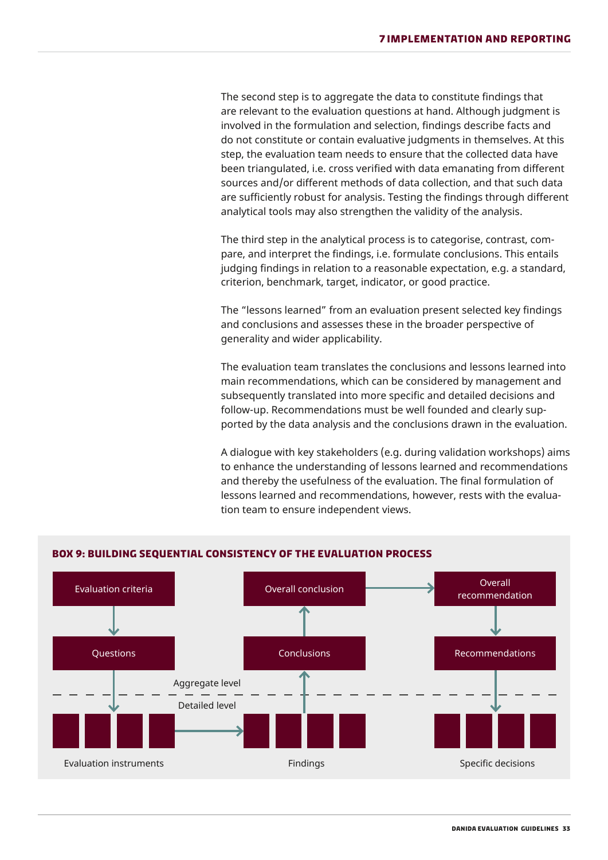<span id="page-32-0"></span>The second step is to aggregate the data to constitute findings that are relevant to the evaluation questions at hand. Although judgment is involved in the formulation and selection, findings describe facts and do not constitute or contain evaluative judgments in themselves. At this step, the evaluation team needs to ensure that the collected data have been triangulated, i.e. cross verified with data emanating from different sources and/or different methods of data collection, and that such data are sufficiently robust for analysis. Testing the findings through different analytical tools may also strengthen the validity of the analysis.

The third step in the analytical process is to categorise, contrast, compare, and interpret the findings, i.e. formulate conclusions. This entails judging findings in relation to a reasonable expectation, e.g. a standard, criterion, benchmark, target, indicator, or good practice.

The "lessons learned" from an evaluation present selected key findings and conclusions and assesses these in the broader perspective of generality and wider applicability.

The evaluation team translates the conclusions and lessons learned into main recommendations, which can be considered by management and subsequently translated into more specific and detailed decisions and follow-up. Recommendations must be well founded and clearly supported by the data analysis and the conclusions drawn in the evaluation.

A dialogue with key stakeholders (e.g. during validation workshops) aims to enhance the understanding of lessons learned and recommendations and thereby the usefulness of the evaluation. The final formulation of lessons learned and recommendations, however, rests with the evaluation team to ensure independent views.



#### <span id="page-32-1"></span>**BOX 9: BUILDING SEQUENTIAL CONSISTENCY OF THE EVALUATION PROCESS**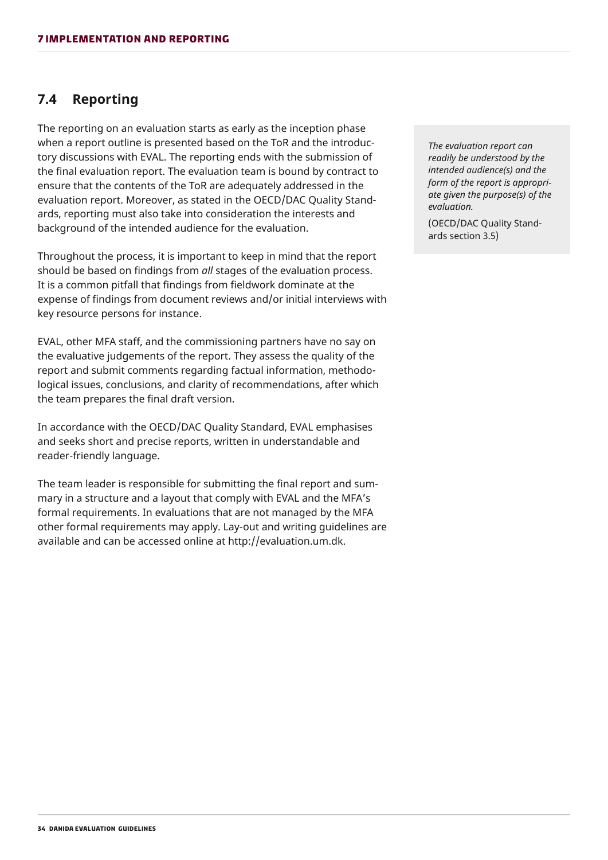#### <span id="page-33-0"></span>**7.4 Reporting**

The reporting on an evaluation starts as early as the inception phase when a report outline is presented based on the ToR and the introductory discussions with EVAL. The reporting ends with the submission of the final evaluation report. The evaluation team is bound by contract to ensure that the contents of the ToR are adequately addressed in the evaluation report. Moreover, as stated in the OECD/DAC Quality Standards, reporting must also take into consideration the interests and background of the intended audience for the evaluation.

Throughout the process, it is important to keep in mind that the report should be based on findings from *all* stages of the evaluation process. It is a common pitfall that findings from fieldwork dominate at the expense of findings from document reviews and/or initial interviews with key resource persons for instance.

EVAL, other MFA staff, and the commissioning partners have no say on the evaluative judgements of the report. They assess the quality of the report and submit comments regarding factual information, methodological issues, conclusions, and clarity of recommendations, after which the team prepares the final draft version.

In accordance with the OECD/DAC Quality Standard, EVAL emphasises and seeks short and precise reports, written in understandable and reader-friendly language.

The team leader is responsible for submitting the final report and summary in a structure and a layout that comply with EVAL and the MFA's formal requirements. In evaluations that are not managed by the MFA other formal requirements may apply. Lay-out and writing guidelines are available and can be accessed online at <http://evaluation.um.dk.>

*The evaluation report can readily be understood by the intended audience(s) and the form of the report is appropriate given the purpose(s) of the evaluation.* 

(OECD/DAC Quality Standards section 3.5)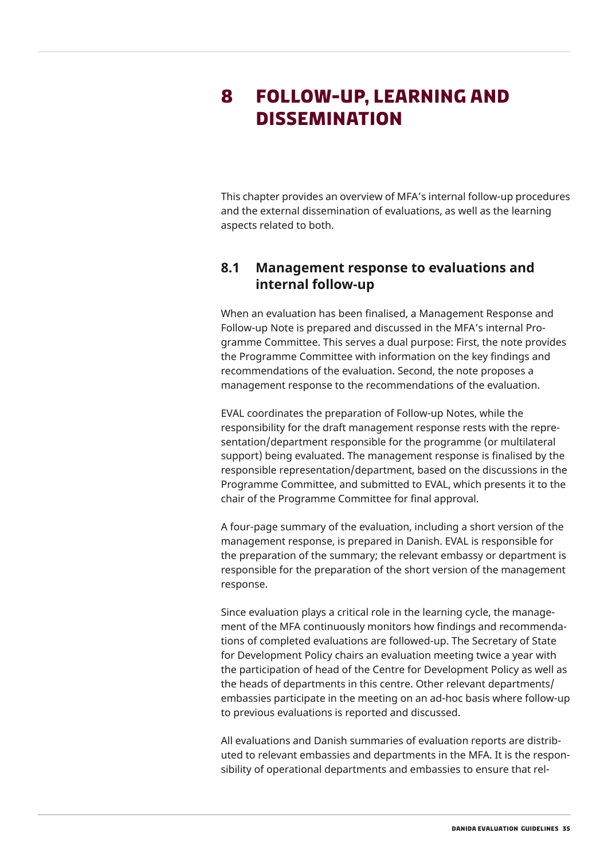## <span id="page-34-0"></span>**8 Follow-up, learning and dissemination**

This chapter provides an overview of MFA's internal follow-up procedures and the external dissemination of evaluations, as well as the learning aspects related to both.

#### **8.1 Management response to evaluations and internal follow-up**

When an evaluation has been finalised, a Management Response and Follow-up Note is prepared and discussed in the MFA's internal Programme Committee. This serves a dual purpose: First, the note provides the Programme Committee with information on the key findings and recommendations of the evaluation. Second, the note proposes a management response to the recommendations of the evaluation.

EVAL coordinates the preparation of Follow-up Notes, while the responsibility for the draft management response rests with the representation/department responsible for the programme (or multilateral support) being evaluated. The management response is finalised by the responsible representation/department, based on the discussions in the Programme Committee, and submitted to EVAL, which presents it to the chair of the Programme Committee for final approval.

A four-page summary of the evaluation, including a short version of the management response, is prepared in Danish. EVAL is responsible for the preparation of the summary; the relevant embassy or department is responsible for the preparation of the short version of the management response.

Since evaluation plays a critical role in the learning cycle, the management of the MFA continuously monitors how findings and recommendations of completed evaluations are followed-up. The Secretary of State for Development Policy chairs an evaluation meeting twice a year with the participation of head of the Centre for Development Policy as well as the heads of departments in this centre. Other relevant departments/ embassies participate in the meeting on an ad-hoc basis where follow-up to previous evaluations is reported and discussed.

All evaluations and Danish summaries of evaluation reports are distributed to relevant embassies and departments in the MFA. It is the responsibility of operational departments and embassies to ensure that rel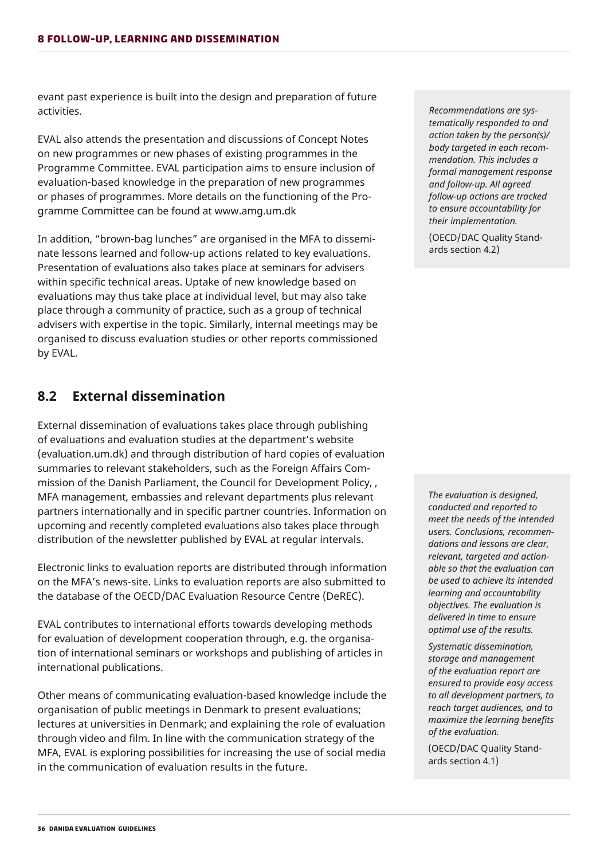<span id="page-35-0"></span>evant past experience is built into the design and preparation of future activities.

EVAL also attends the presentation and discussions of Concept Notes on new programmes or new phases of existing programmes in the Programme Committee. EVAL participation aims to ensure inclusion of evaluation-based knowledge in the preparation of new programmes or phases of programmes. More details on the functioning of the Programme Committee can be found at [www.amg.um.dk](http://www.amg.um.dk)

In addition, "brown-bag lunches" are organised in the MFA to disseminate lessons learned and follow-up actions related to key evaluations. Presentation of evaluations also takes place at seminars for advisers within specific technical areas. Uptake of new knowledge based on evaluations may thus take place at individual level, but may also take place through a community of practice, such as a group of technical advisers with expertise in the topic. Similarly, internal meetings may be organised to discuss evaluation studies or other reports commissioned by EVAL.

#### **8.2 External dissemination**

External dissemination of evaluations takes place through publishing of evaluations and evaluation studies at the department's website [\(evaluation.um.dk\)](http://evaluation.um.dk) and through distribution of hard copies of evaluation summaries to relevant stakeholders, such as the Foreign Affairs Commission of the Danish Parliament, the Council for Development Policy, , MFA management, embassies and relevant departments plus relevant partners internationally and in specific partner countries. Information on upcoming and recently completed evaluations also takes place through distribution of the newsletter published by EVAL at regular intervals.

Electronic links to evaluation reports are distributed through information on the MFA's news-site. Links to evaluation reports are also submitted to the database of the OECD/DAC Evaluation Resource Centre (DeREC).

EVAL contributes to international efforts towards developing methods for evaluation of development cooperation through, e.g. the organisation of international seminars or workshops and publishing of articles in international publications.

Other means of communicating evaluation-based knowledge include the organisation of public meetings in Denmark to present evaluations; lectures at universities in Denmark; and explaining the role of evaluation through video and film. In line with the communication strategy of the MFA, EVAL is exploring possibilities for increasing the use of social media in the communication of evaluation results in the future.

*Recommendations are systematically responded to and action taken by the person(s)/ body targeted in each recommendation. This includes a formal management response and follow-up. All agreed follow-up actions are tracked to ensure accountability for their implementation.* 

(OECD/DAC Quality Standards section 4.2)

*The evaluation is designed, conducted and reported to meet the needs of the intended users. Conclusions, recommendations and lessons are clear, relevant, targeted and actionable so that the evaluation can be used to achieve its intended learning and accountability objectives. The evaluation is delivered in time to ensure optimal use of the results.* 

*Systematic dissemination, storage and management of the evaluation report are ensured to provide easy access to all development partners, to reach target audiences, and to maximize the learning benefits of the evaluation.* 

(OECD/DAC Quality Standards section 4.1)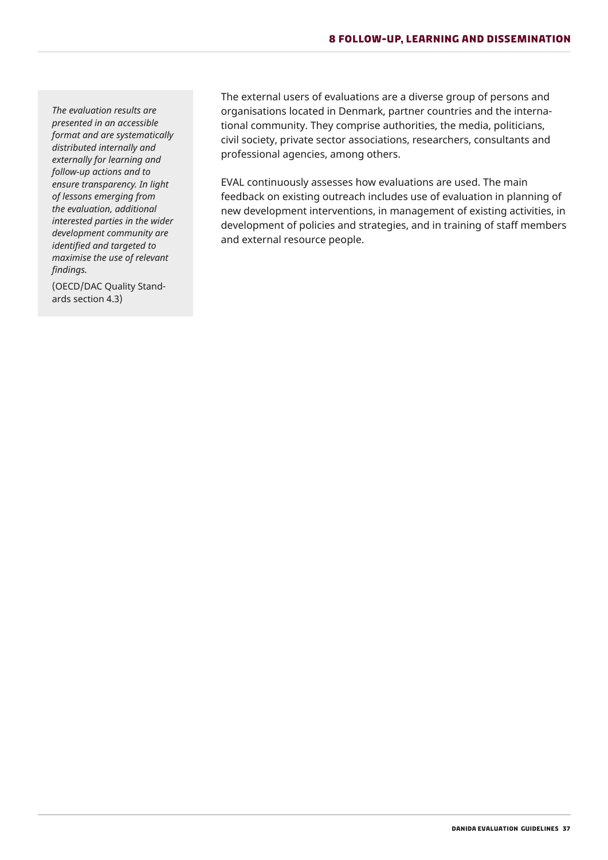*The evaluation results are presented in an accessible format and are systematically distributed internally and externally for learning and follow-up actions and to ensure transparency. In light of lessons emerging from the evaluation, additional interested parties in the wider development community are identified and targeted to maximise the use of relevant findings.* 

(OECD/DAC Quality Standards section 4.3)

The external users of evaluations are a diverse group of persons and organisations located in Denmark, partner countries and the international community. They comprise authorities, the media, politicians, civil society, private sector associations, researchers, consultants and professional agencies, among others.

EVAL continuously assesses how evaluations are used. The main feedback on existing outreach includes use of evaluation in planning of new development interventions, in management of existing activities, in development of policies and strategies, and in training of staff members and external resource people.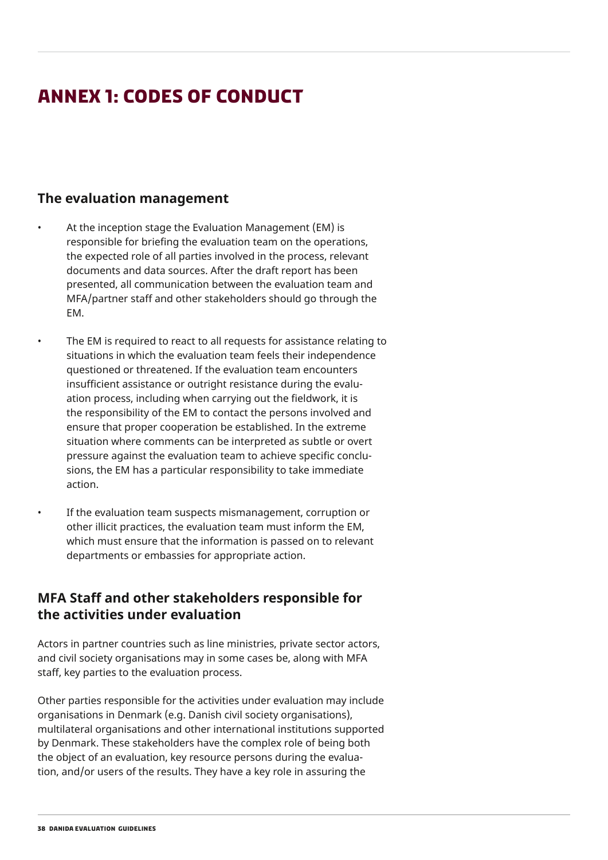## <span id="page-37-0"></span>**Annex 1: Codes of conduct**

#### **The evaluation management**

- At the inception stage the Evaluation Management (EM) is responsible for briefing the evaluation team on the operations, the expected role of all parties involved in the process, relevant documents and data sources. After the draft report has been presented, all communication between the evaluation team and MFA/partner staff and other stakeholders should go through the EM.
	- The EM is required to react to all requests for assistance relating to situations in which the evaluation team feels their independence questioned or threatened. If the evaluation team encounters insufficient assistance or outright resistance during the evaluation process, including when carrying out the fieldwork, it is the responsibility of the EM to contact the persons involved and ensure that proper cooperation be established. In the extreme situation where comments can be interpreted as subtle or overt pressure against the evaluation team to achieve specific conclusions, the EM has a particular responsibility to take immediate action.
	- If the evaluation team suspects mismanagement, corruption or other illicit practices, the evaluation team must inform the EM, which must ensure that the information is passed on to relevant departments or embassies for appropriate action.

#### **MFA Staff and other stakeholders responsible for the activities under evaluation**

Actors in partner countries such as line ministries, private sector actors, and civil society organisations may in some cases be, along with MFA staff, key parties to the evaluation process.

Other parties responsible for the activities under evaluation may include organisations in Denmark (e.g. Danish civil society organisations), multilateral organisations and other international institutions supported by Denmark. These stakeholders have the complex role of being both the object of an evaluation, key resource persons during the evaluation, and/or users of the results. They have a key role in assuring the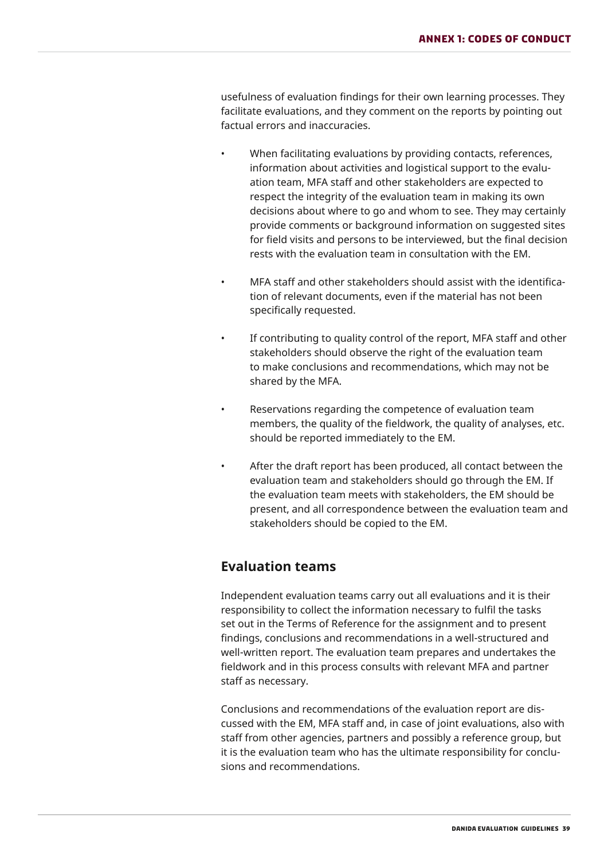usefulness of evaluation findings for their own learning processes. They facilitate evaluations, and they comment on the reports by pointing out factual errors and inaccuracies.

- When facilitating evaluations by providing contacts, references, information about activities and logistical support to the evaluation team, MFA staff and other stakeholders are expected to respect the integrity of the evaluation team in making its own decisions about where to go and whom to see. They may certainly provide comments or background information on suggested sites for field visits and persons to be interviewed, but the final decision rests with the evaluation team in consultation with the EM.
- MFA staff and other stakeholders should assist with the identification of relevant documents, even if the material has not been specifically requested.
- If contributing to quality control of the report, MFA staff and other stakeholders should observe the right of the evaluation team to make conclusions and recommendations, which may not be shared by the MFA.
- Reservations regarding the competence of evaluation team members, the quality of the fieldwork, the quality of analyses, etc. should be reported immediately to the EM.
- After the draft report has been produced, all contact between the evaluation team and stakeholders should go through the EM. If the evaluation team meets with stakeholders, the EM should be present, and all correspondence between the evaluation team and stakeholders should be copied to the EM.

#### **Evaluation teams**

Independent evaluation teams carry out all evaluations and it is their responsibility to collect the information necessary to fulfil the tasks set out in the Terms of Reference for the assignment and to present findings, conclusions and recommendations in a well-structured and well-written report. The evaluation team prepares and undertakes the fieldwork and in this process consults with relevant MFA and partner staff as necessary.

Conclusions and recommendations of the evaluation report are discussed with the EM, MFA staff and, in case of joint evaluations, also with staff from other agencies, partners and possibly a reference group, but it is the evaluation team who has the ultimate responsibility for conclusions and recommendations.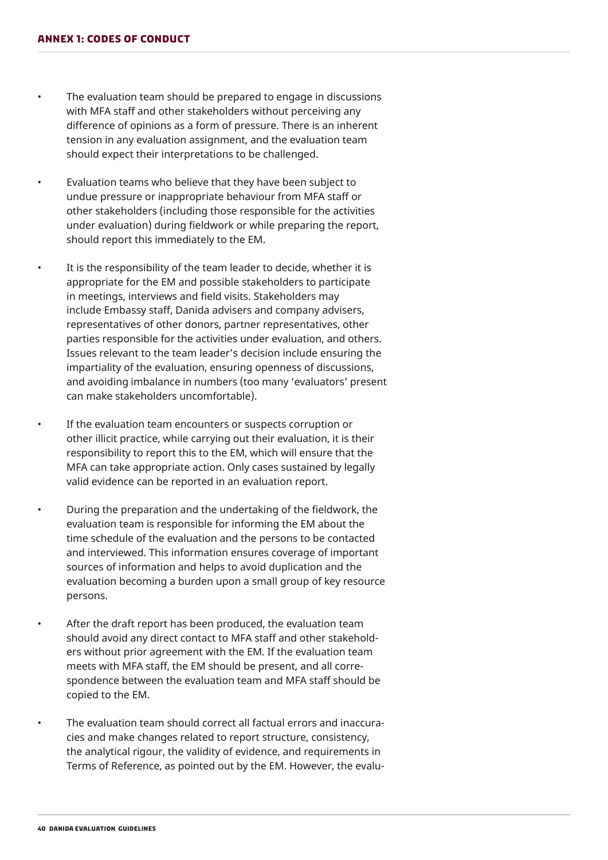- The evaluation team should be prepared to engage in discussions with MFA staff and other stakeholders without perceiving any difference of opinions as a form of pressure. There is an inherent tension in any evaluation assignment, and the evaluation team should expect their interpretations to be challenged.
- Evaluation teams who believe that they have been subject to undue pressure or inappropriate behaviour from MFA staff or other stakeholders (including those responsible for the activities under evaluation) during fieldwork or while preparing the report, should report this immediately to the EM.
- It is the responsibility of the team leader to decide, whether it is appropriate for the EM and possible stakeholders to participate in meetings, interviews and field visits. Stakeholders may include Embassy staff, Danida advisers and company advisers, representatives of other donors, partner representatives, other parties responsible for the activities under evaluation, and others. Issues relevant to the team leader's decision include ensuring the impartiality of the evaluation, ensuring openness of discussions, and avoiding imbalance in numbers (too many 'evaluators' present can make stakeholders uncomfortable).
- If the evaluation team encounters or suspects corruption or other illicit practice, while carrying out their evaluation, it is their responsibility to report this to the EM, which will ensure that the MFA can take appropriate action. Only cases sustained by legally valid evidence can be reported in an evaluation report.
- During the preparation and the undertaking of the fieldwork, the evaluation team is responsible for informing the EM about the time schedule of the evaluation and the persons to be contacted and interviewed. This information ensures coverage of important sources of information and helps to avoid duplication and the evaluation becoming a burden upon a small group of key resource persons.
- After the draft report has been produced, the evaluation team should avoid any direct contact to MFA staff and other stakeholders without prior agreement with the EM. If the evaluation team meets with MFA staff, the EM should be present, and all correspondence between the evaluation team and MFA staff should be copied to the EM.
- The evaluation team should correct all factual errors and inaccuracies and make changes related to report structure, consistency, the analytical rigour, the validity of evidence, and requirements in Terms of Reference, as pointed out by the EM. However, the evalu-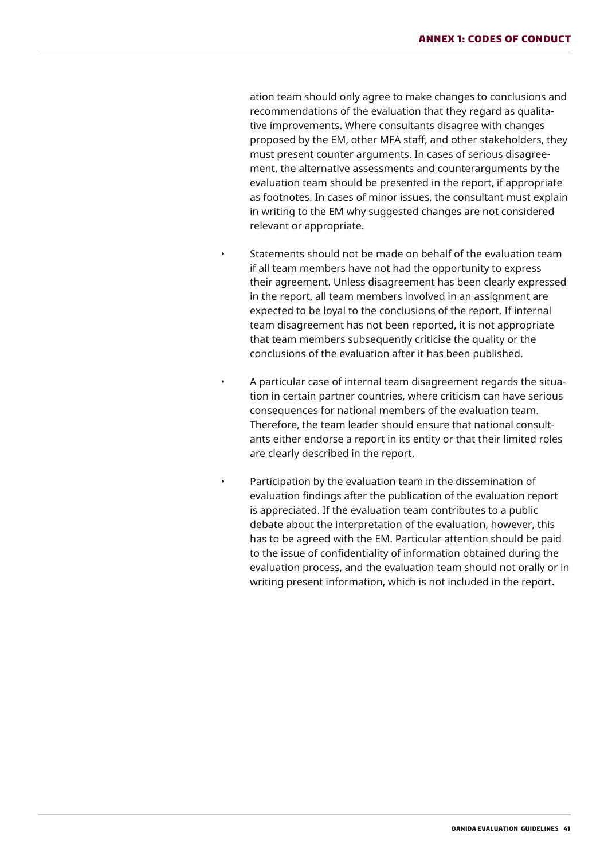ation team should only agree to make changes to conclusions and recommendations of the evaluation that they regard as qualitative improvements. Where consultants disagree with changes proposed by the EM, other MFA staff, and other stakeholders, they must present counter arguments. In cases of serious disagreement, the alternative assessments and counterarguments by the evaluation team should be presented in the report, if appropriate as footnotes. In cases of minor issues, the consultant must explain in writing to the EM why suggested changes are not considered relevant or appropriate.

- Statements should not be made on behalf of the evaluation team if all team members have not had the opportunity to express their agreement. Unless disagreement has been clearly expressed in the report, all team members involved in an assignment are expected to be loyal to the conclusions of the report. If internal team disagreement has not been reported, it is not appropriate that team members subsequently criticise the quality or the conclusions of the evaluation after it has been published.
- A particular case of internal team disagreement regards the situation in certain partner countries, where criticism can have serious consequences for national members of the evaluation team. Therefore, the team leader should ensure that national consultants either endorse a report in its entity or that their limited roles are clearly described in the report.
- Participation by the evaluation team in the dissemination of evaluation findings after the publication of the evaluation report is appreciated. If the evaluation team contributes to a public debate about the interpretation of the evaluation, however, this has to be agreed with the EM. Particular attention should be paid to the issue of confidentiality of information obtained during the evaluation process, and the evaluation team should not orally or in writing present information, which is not included in the report.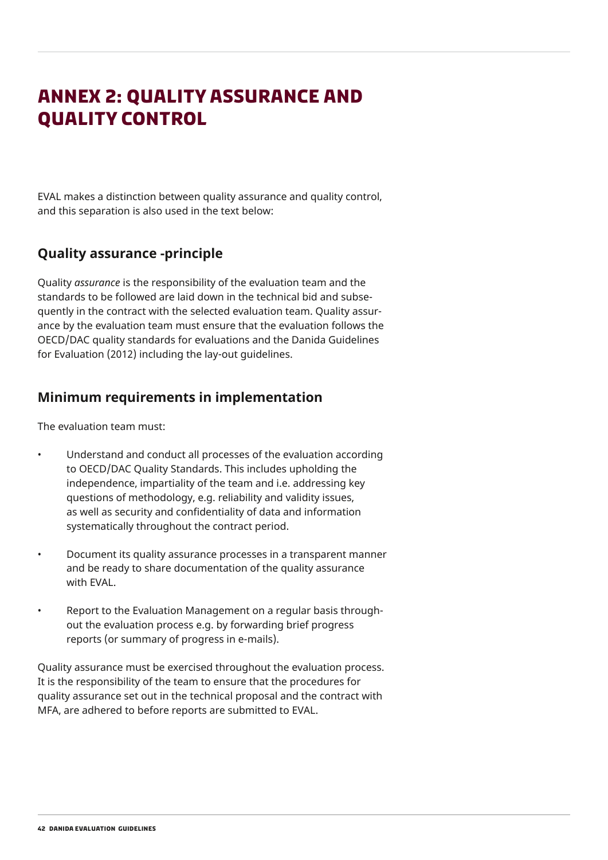## <span id="page-41-1"></span><span id="page-41-0"></span>**Annex 2: Quality Assurance and Quality control**

EVAL makes a distinction between quality assurance and quality control, and this separation is also used in the text below:

#### **Quality assurance -principle**

Quality *assurance* is the responsibility of the evaluation team and the standards to be followed are laid down in the technical bid and subsequently in the contract with the selected evaluation team. Quality assurance by the evaluation team must ensure that the evaluation follows the OECD/DAC quality standards for evaluations and the Danida Guidelines for Evaluation (2012) including the lay-out guidelines.

#### **Minimum requirements in implementation**

The evaluation team must:

- Understand and conduct all processes of the evaluation according to OECD/DAC Quality Standards. This includes upholding the independence, impartiality of the team and i.e. addressing key questions of methodology, e.g. reliability and validity issues, as well as security and confidentiality of data and information systematically throughout the contract period.
- Document its quality assurance processes in a transparent manner and be ready to share documentation of the quality assurance with EVAL.
- Report to the Evaluation Management on a regular basis throughout the evaluation process e.g. by forwarding brief progress reports (or summary of progress in e-mails).

Quality assurance must be exercised throughout the evaluation process. It is the responsibility of the team to ensure that the procedures for quality assurance set out in the technical proposal and the contract with MFA, are adhered to before reports are submitted to EVAL.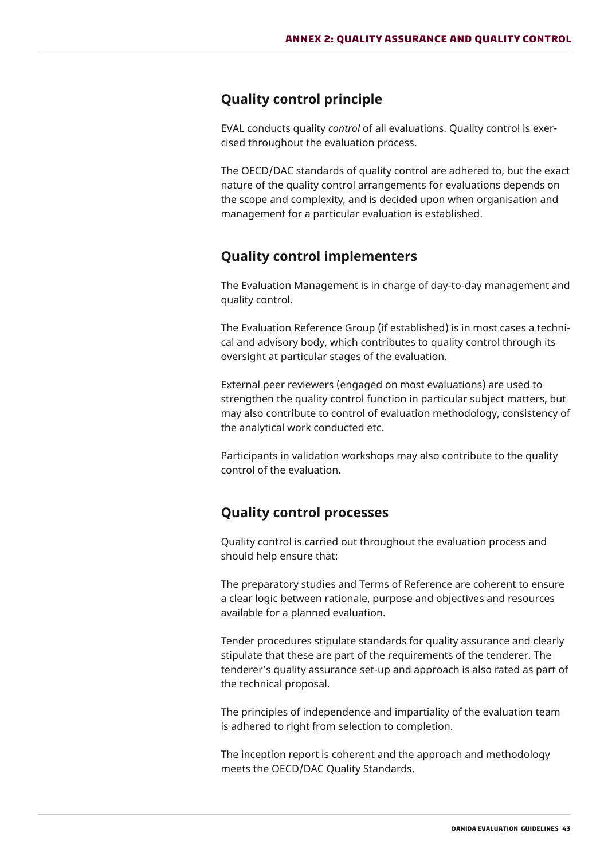#### **Quality control principle**

EVAL conducts quality *control* of all evaluations. Quality control is exercised throughout the evaluation process.

The OECD/DAC standards of quality control are adhered to, but the exact nature of the quality control arrangements for evaluations depends on the scope and complexity, and is decided upon when organisation and management for a particular evaluation is established.

#### **Quality control implementers**

The Evaluation Management is in charge of day-to-day management and quality control.

The Evaluation Reference Group (if established) is in most cases a technical and advisory body, which contributes to quality control through its oversight at particular stages of the evaluation.

External peer reviewers (engaged on most evaluations) are used to strengthen the quality control function in particular subject matters, but may also contribute to control of evaluation methodology, consistency of the analytical work conducted etc.

Participants in validation workshops may also contribute to the quality control of the evaluation.

#### **Quality control processes**

Quality control is carried out throughout the evaluation process and should help ensure that:

The preparatory studies and Terms of Reference are coherent to ensure a clear logic between rationale, purpose and objectives and resources available for a planned evaluation.

Tender procedures stipulate standards for quality assurance and clearly stipulate that these are part of the requirements of the tenderer. The tenderer's quality assurance set-up and approach is also rated as part of the technical proposal.

The principles of independence and impartiality of the evaluation team is adhered to right from selection to completion.

The inception report is coherent and the approach and methodology meets the OECD/DAC Quality Standards.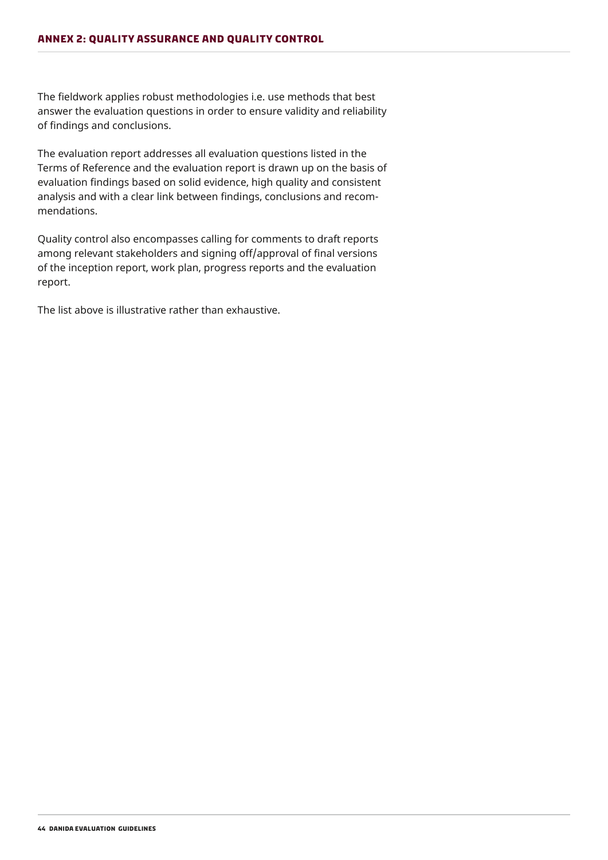The fieldwork applies robust methodologies i.e. use methods that best answer the evaluation questions in order to ensure validity and reliability of findings and conclusions.

The evaluation report addresses all evaluation questions listed in the Terms of Reference and the evaluation report is drawn up on the basis of evaluation findings based on solid evidence, high quality and consistent analysis and with a clear link between findings, conclusions and recommendations.

Quality control also encompasses calling for comments to draft reports among relevant stakeholders and signing off/approval of final versions of the inception report, work plan, progress reports and the evaluation report.

The list above is illustrative rather than exhaustive.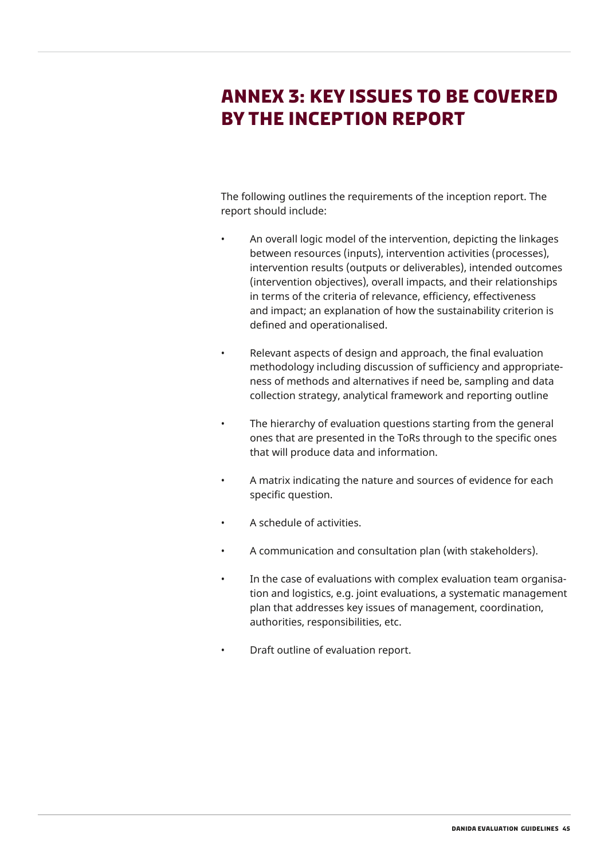## <span id="page-44-1"></span><span id="page-44-0"></span>**Annex 3: Key issues to be covered by the inception report**

The following outlines the requirements of the inception report. The report should include:

- An overall logic model of the intervention, depicting the linkages between resources (inputs), intervention activities (processes), intervention results (outputs or deliverables), intended outcomes (intervention objectives), overall impacts, and their relationships in terms of the criteria of relevance, efficiency, effectiveness and impact; an explanation of how the sustainability criterion is defined and operationalised.
- Relevant aspects of design and approach, the final evaluation methodology including discussion of sufficiency and appropriateness of methods and alternatives if need be, sampling and data collection strategy, analytical framework and reporting outline
- The hierarchy of evaluation questions starting from the general ones that are presented in the ToRs through to the specific ones that will produce data and information.
- A matrix indicating the nature and sources of evidence for each specific question.
- A schedule of activities.
- A communication and consultation plan (with stakeholders).
- In the case of evaluations with complex evaluation team organisation and logistics, e.g. joint evaluations, a systematic management plan that addresses key issues of management, coordination, authorities, responsibilities, etc.
- Draft outline of evaluation report.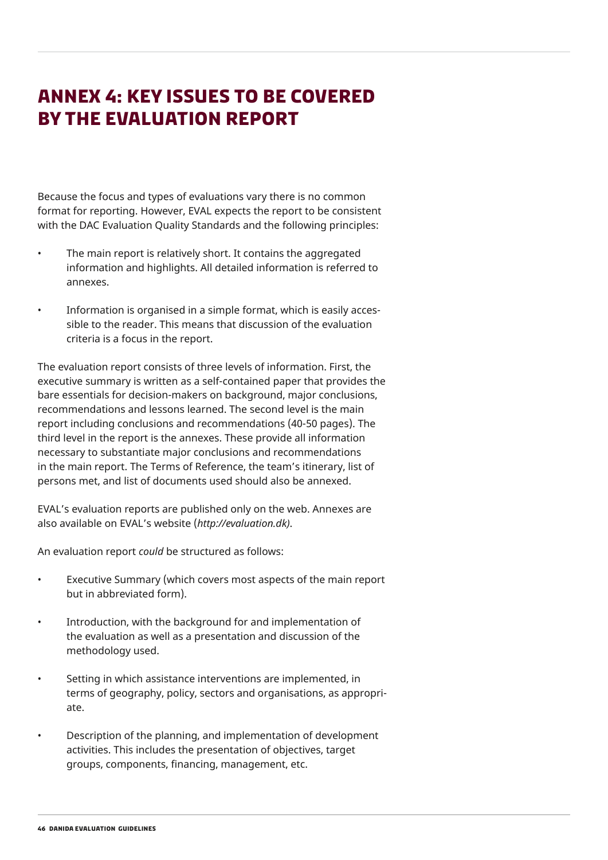## <span id="page-45-0"></span>**Annex 4: Key issues to be covered by the evaluation report**

Because the focus and types of evaluations vary there is no common format for reporting. However, EVAL expects the report to be consistent with the DAC Evaluation Quality Standards and the following principles:

- The main report is relatively short. It contains the aggregated information and highlights. All detailed information is referred to annexes.
- Information is organised in a simple format, which is easily accessible to the reader. This means that discussion of the evaluation criteria is a focus in the report.

The evaluation report consists of three levels of information. First, the executive summary is written as a self-contained paper that provides the bare essentials for decision-makers on background, major conclusions, recommendations and lessons learned. The second level is the main report including conclusions and recommendations (40-50 pages). The third level in the report is the annexes. These provide all information necessary to substantiate major conclusions and recommendations in the main report. The Terms of Reference, the team's itinerary, list of persons met, and list of documents used should also be annexed.

EVAL's evaluation reports are published only on the web. Annexes are also available on EVAL's website (*http://evaluation.dk)*.

An evaluation report *could* be structured as follows:

- Executive Summary (which covers most aspects of the main report but in abbreviated form).
- Introduction, with the background for and implementation of the evaluation as well as a presentation and discussion of the methodology used.
- Setting in which assistance interventions are implemented, in terms of geography, policy, sectors and organisations, as appropriate.
- Description of the planning, and implementation of development activities. This includes the presentation of objectives, target groups, components, financing, management, etc.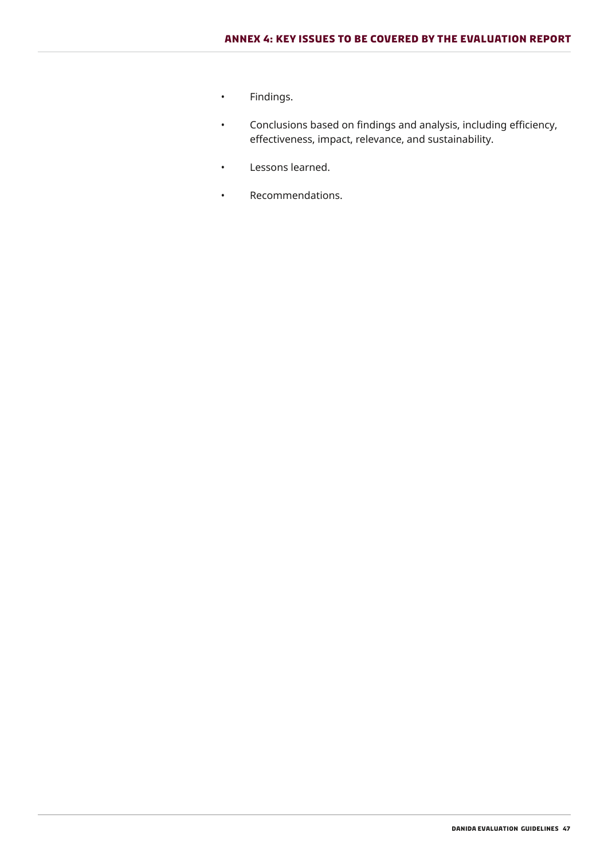- Findings.
- Conclusions based on findings and analysis, including efficiency, effectiveness, impact, relevance, and sustainability.
- Lessons learned.
- Recommendations.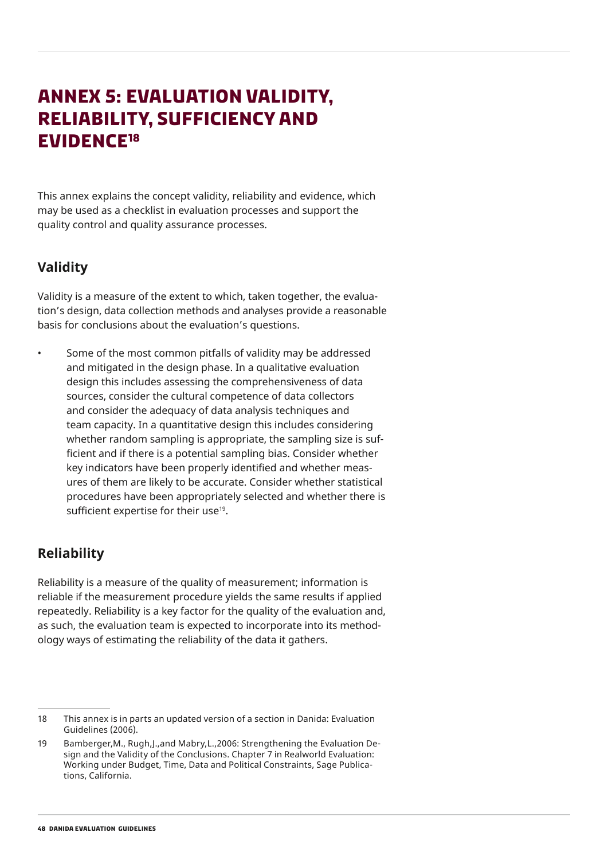## <span id="page-47-1"></span><span id="page-47-0"></span>**Annex 5: Evaluation validity, reliability, sufficiency and evidence18**

This annex explains the concept validity, reliability and evidence, which may be used as a checklist in evaluation processes and support the quality control and quality assurance processes.

#### **Validity**

Validity is a measure of the extent to which, taken together, the evaluation's design, data collection methods and analyses provide a reasonable basis for conclusions about the evaluation's questions.

• Some of the most common pitfalls of validity may be addressed and mitigated in the design phase. In a qualitative evaluation design this includes assessing the comprehensiveness of data sources, consider the cultural competence of data collectors and consider the adequacy of data analysis techniques and team capacity. In a quantitative design this includes considering whether random sampling is appropriate, the sampling size is sufficient and if there is a potential sampling bias. Consider whether key indicators have been properly identified and whether measures of them are likely to be accurate. Consider whether statistical procedures have been appropriately selected and whether there is sufficient expertise for their use<sup>19</sup>.

#### **Reliability**

Reliability is a measure of the quality of measurement; information is reliable if the measurement procedure yields the same results if applied repeatedly. Reliability is a key factor for the quality of the evaluation and, as such, the evaluation team is expected to incorporate into its methodology ways of estimating the reliability of the data it gathers.

<sup>18</sup> This annex is in parts an updated version of a section in Danida: Evaluation Guidelines (2006).

<sup>19</sup> Bamberger,M., Rugh,J.,and Mabry,L.,2006: Strengthening the Evaluation Design and the Validity of the Conclusions. Chapter 7 in Realworld Evaluation: Working under Budget, Time, Data and Political Constraints, Sage Publications, California.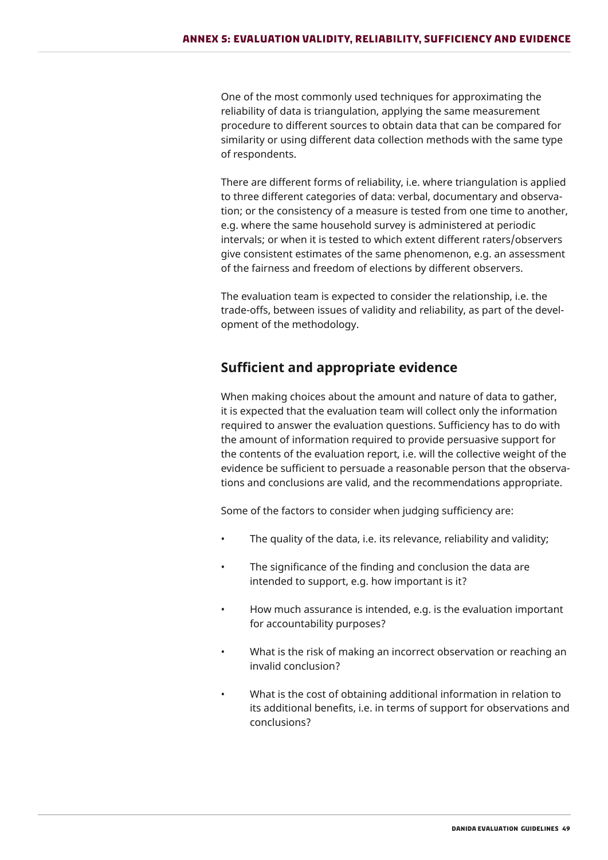One of the most commonly used techniques for approximating the reliability of data is triangulation, applying the same measurement procedure to different sources to obtain data that can be compared for similarity or using different data collection methods with the same type of respondents.

There are different forms of reliability, i.e. where triangulation is applied to three different categories of data: verbal, documentary and observation; or the consistency of a measure is tested from one time to another, e.g. where the same household survey is administered at periodic intervals; or when it is tested to which extent different raters/observers give consistent estimates of the same phenomenon, e.g. an assessment of the fairness and freedom of elections by different observers.

The evaluation team is expected to consider the relationship, i.e. the trade-offs, between issues of validity and reliability, as part of the development of the methodology.

#### **Sufficient and appropriate evidence**

When making choices about the amount and nature of data to gather, it is expected that the evaluation team will collect only the information required to answer the evaluation questions. Sufficiency has to do with the amount of information required to provide persuasive support for the contents of the evaluation report, i.e. will the collective weight of the evidence be sufficient to persuade a reasonable person that the observations and conclusions are valid, and the recommendations appropriate.

Some of the factors to consider when judging sufficiency are:

- The quality of the data, i.e. its relevance, reliability and validity;
- The significance of the finding and conclusion the data are intended to support, e.g. how important is it?
- How much assurance is intended, e.g. is the evaluation important for accountability purposes?
- What is the risk of making an incorrect observation or reaching an invalid conclusion?
- What is the cost of obtaining additional information in relation to its additional benefits, i.e. in terms of support for observations and conclusions?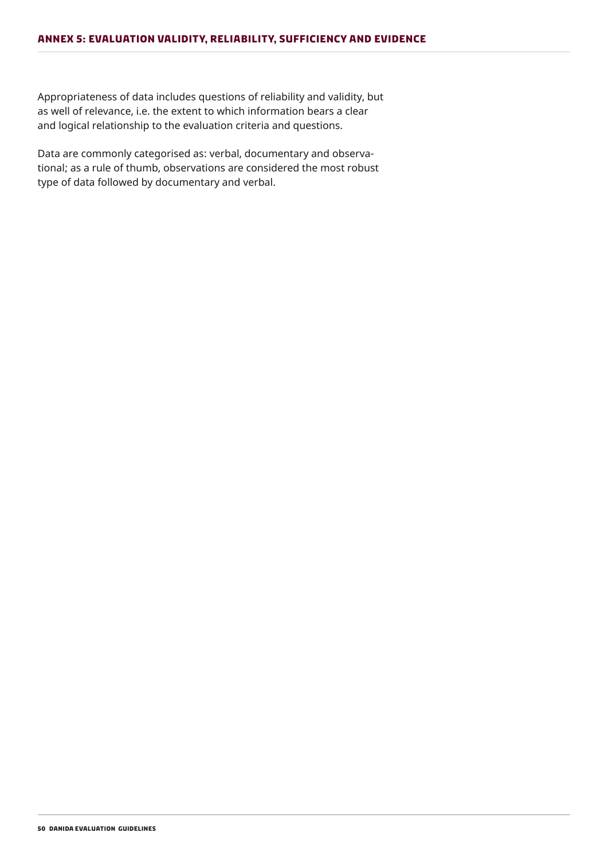Appropriateness of data includes questions of reliability and validity, but as well of relevance, i.e. the extent to which information bears a clear and logical relationship to the evaluation criteria and questions.

Data are commonly categorised as: verbal, documentary and observational; as a rule of thumb, observations are considered the most robust type of data followed by documentary and verbal.